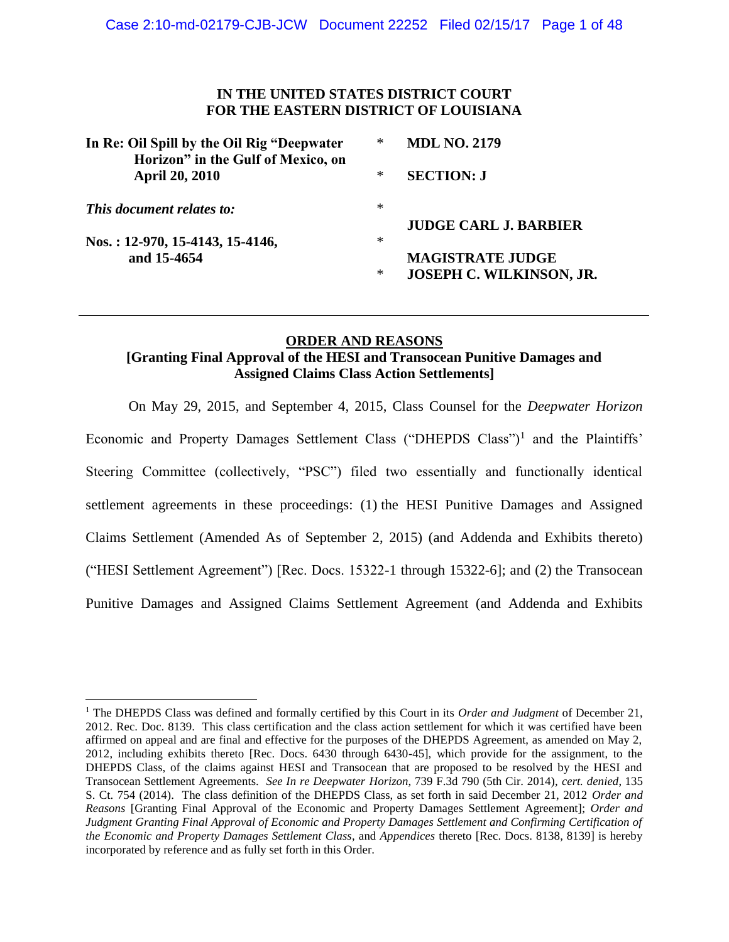# **IN THE UNITED STATES DISTRICT COURT FOR THE EASTERN DISTRICT OF LOUISIANA**

| In Re: Oil Spill by the Oil Rig "Deepwater"<br>Horizon" in the Gulf of Mexico, on | * | <b>MDL NO. 2179</b>                                        |
|-----------------------------------------------------------------------------------|---|------------------------------------------------------------|
| <b>April 20, 2010</b>                                                             | ∗ | <b>SECTION: J</b>                                          |
| This document relates to:                                                         | ∗ | <b>JUDGE CARL J. BARBIER</b>                               |
| Nos.: 12-970, 15-4143, 15-4146,                                                   | ∗ |                                                            |
| and 15-4654                                                                       | ∗ | <b>MAGISTRATE JUDGE</b><br><b>JOSEPH C. WILKINSON, JR.</b> |

# **ORDER AND REASONS [Granting Final Approval of the HESI and Transocean Punitive Damages and Assigned Claims Class Action Settlements]**

On May 29, 2015, and September 4, 2015, Class Counsel for the *Deepwater Horizon* Economic and Property Damages Settlement Class ("DHEPDS Class")<sup>1</sup> and the Plaintiffs' Steering Committee (collectively, "PSC") filed two essentially and functionally identical settlement agreements in these proceedings: (1) the HESI Punitive Damages and Assigned Claims Settlement (Amended As of September 2, 2015) (and Addenda and Exhibits thereto) ("HESI Settlement Agreement") [Rec. Docs. 15322-1 through 15322-6]; and (2) the Transocean Punitive Damages and Assigned Claims Settlement Agreement (and Addenda and Exhibits

<sup>1</sup> The DHEPDS Class was defined and formally certified by this Court in its *Order and Judgment* of December 21, 2012. Rec. Doc. 8139. This class certification and the class action settlement for which it was certified have been affirmed on appeal and are final and effective for the purposes of the DHEPDS Agreement, as amended on May 2, 2012, including exhibits thereto [Rec. Docs. 6430 through 6430-45], which provide for the assignment, to the DHEPDS Class, of the claims against HESI and Transocean that are proposed to be resolved by the HESI and Transocean Settlement Agreements. *See In re Deepwater Horizon*, 739 F.3d 790 (5th Cir. 2014), *cert. denied*, 135 S. Ct. 754 (2014). The class definition of the DHEPDS Class, as set forth in said December 21, 2012 *Order and Reasons* [Granting Final Approval of the Economic and Property Damages Settlement Agreement]; *Order and Judgment Granting Final Approval of Economic and Property Damages Settlement and Confirming Certification of the Economic and Property Damages Settlement Class*, and *Appendices* thereto [Rec. Docs. 8138, 8139] is hereby incorporated by reference and as fully set forth in this Order.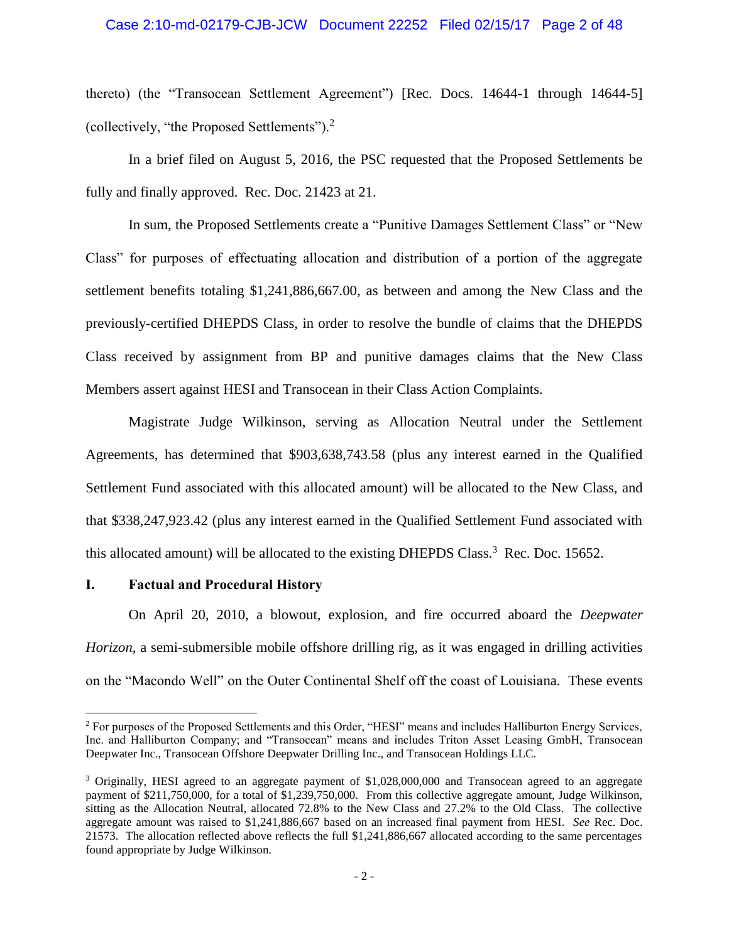#### Case 2:10-md-02179-CJB-JCW Document 22252 Filed 02/15/17 Page 2 of 48

thereto) (the "Transocean Settlement Agreement") [Rec. Docs. 14644-1 through 14644-5] (collectively, "the Proposed Settlements").<sup>2</sup>

In a brief filed on August 5, 2016, the PSC requested that the Proposed Settlements be fully and finally approved. Rec. Doc. 21423 at 21.

In sum, the Proposed Settlements create a "Punitive Damages Settlement Class" or "New Class" for purposes of effectuating allocation and distribution of a portion of the aggregate settlement benefits totaling \$1,241,886,667.00, as between and among the New Class and the previously-certified DHEPDS Class, in order to resolve the bundle of claims that the DHEPDS Class received by assignment from BP and punitive damages claims that the New Class Members assert against HESI and Transocean in their Class Action Complaints.

Magistrate Judge Wilkinson, serving as Allocation Neutral under the Settlement Agreements, has determined that \$903,638,743.58 (plus any interest earned in the Qualified Settlement Fund associated with this allocated amount) will be allocated to the New Class, and that \$338,247,923.42 (plus any interest earned in the Qualified Settlement Fund associated with this allocated amount) will be allocated to the existing DHEPDS Class.<sup>3</sup> Rec. Doc. 15652.

#### **I. Factual and Procedural History**

 $\overline{a}$ 

On April 20, 2010, a blowout, explosion, and fire occurred aboard the *Deepwater Horizon*, a semi-submersible mobile offshore drilling rig, as it was engaged in drilling activities on the "Macondo Well" on the Outer Continental Shelf off the coast of Louisiana. These events

<sup>&</sup>lt;sup>2</sup> For purposes of the Proposed Settlements and this Order, "HESI" means and includes Halliburton Energy Services, Inc. and Halliburton Company; and "Transocean" means and includes Triton Asset Leasing GmbH, Transocean Deepwater Inc., Transocean Offshore Deepwater Drilling Inc., and Transocean Holdings LLC.

<sup>3</sup> Originally, HESI agreed to an aggregate payment of \$1,028,000,000 and Transocean agreed to an aggregate payment of \$211,750,000, for a total of \$1,239,750,000. From this collective aggregate amount, Judge Wilkinson, sitting as the Allocation Neutral, allocated 72.8% to the New Class and 27.2% to the Old Class. The collective aggregate amount was raised to \$1,241,886,667 based on an increased final payment from HESI. *See* Rec. Doc. 21573. The allocation reflected above reflects the full \$1,241,886,667 allocated according to the same percentages found appropriate by Judge Wilkinson.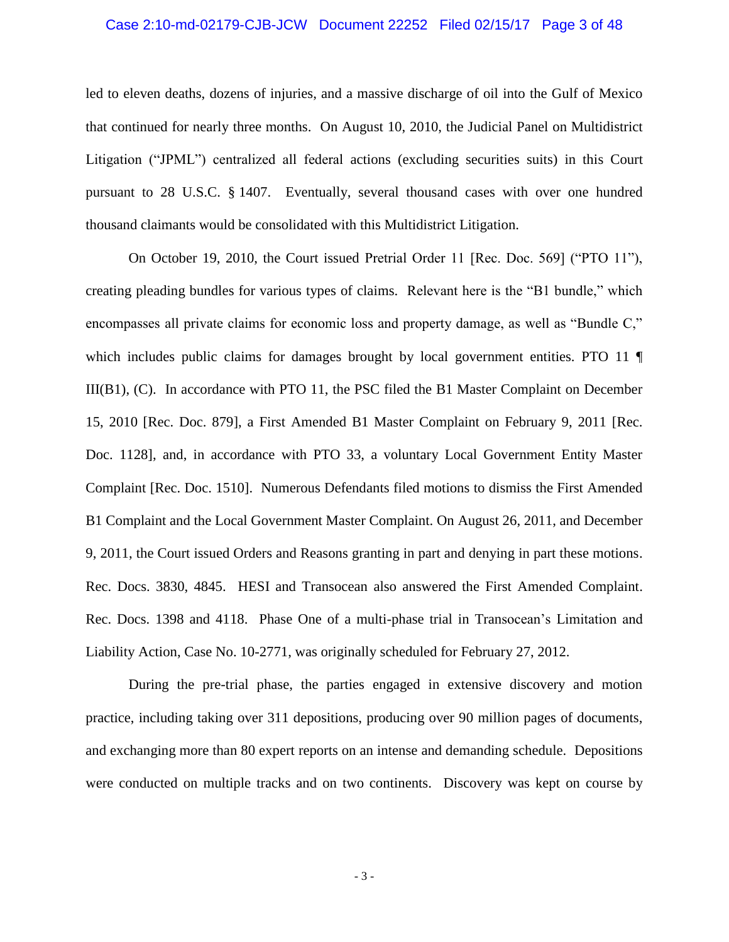#### Case 2:10-md-02179-CJB-JCW Document 22252 Filed 02/15/17 Page 3 of 48

led to eleven deaths, dozens of injuries, and a massive discharge of oil into the Gulf of Mexico that continued for nearly three months. On August 10, 2010, the Judicial Panel on Multidistrict Litigation ("JPML") centralized all federal actions (excluding securities suits) in this Court pursuant to 28 U.S.C. § 1407. Eventually, several thousand cases with over one hundred thousand claimants would be consolidated with this Multidistrict Litigation.

On October 19, 2010, the Court issued Pretrial Order 11 [Rec. Doc. 569] ("PTO 11"), creating pleading bundles for various types of claims. Relevant here is the "B1 bundle," which encompasses all private claims for economic loss and property damage, as well as "Bundle C," which includes public claims for damages brought by local government entities. PTO 11 III(B1), (C). In accordance with PTO 11, the PSC filed the B1 Master Complaint on December 15, 2010 [Rec. Doc. 879], a First Amended B1 Master Complaint on February 9, 2011 [Rec. Doc. 1128], and, in accordance with PTO 33, a voluntary Local Government Entity Master Complaint [Rec. Doc. 1510]. Numerous Defendants filed motions to dismiss the First Amended B1 Complaint and the Local Government Master Complaint. On August 26, 2011, and December 9, 2011, the Court issued Orders and Reasons granting in part and denying in part these motions. Rec. Docs. 3830, 4845. HESI and Transocean also answered the First Amended Complaint. Rec. Docs. 1398 and 4118. Phase One of a multi-phase trial in Transocean's Limitation and Liability Action, Case No. 10-2771, was originally scheduled for February 27, 2012.

During the pre-trial phase, the parties engaged in extensive discovery and motion practice, including taking over 311 depositions, producing over 90 million pages of documents, and exchanging more than 80 expert reports on an intense and demanding schedule. Depositions were conducted on multiple tracks and on two continents. Discovery was kept on course by

- 3 -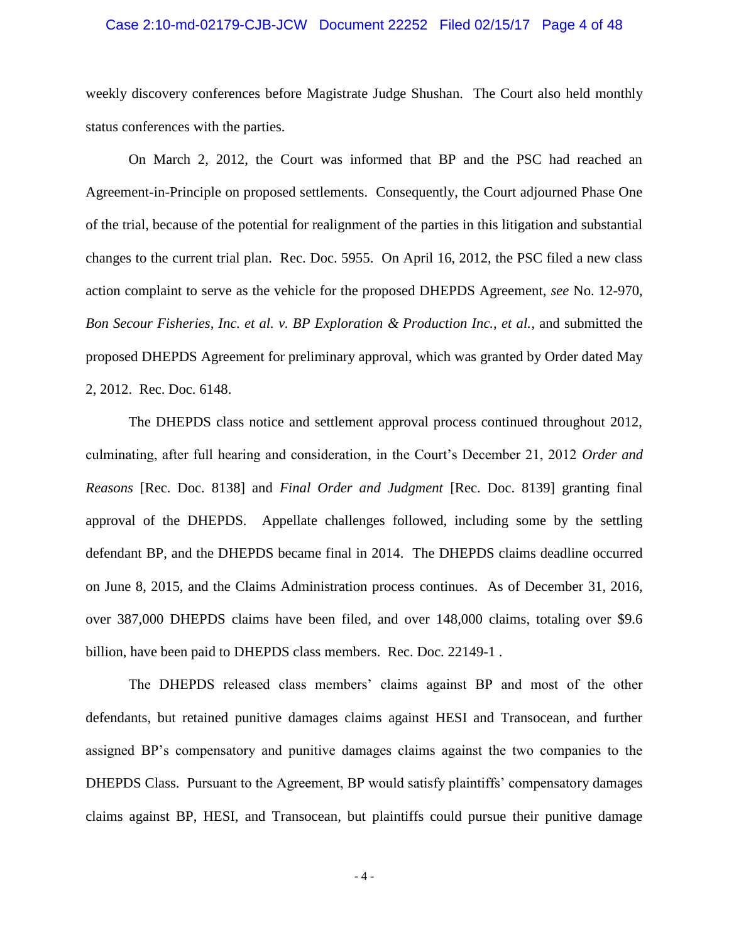#### Case 2:10-md-02179-CJB-JCW Document 22252 Filed 02/15/17 Page 4 of 48

weekly discovery conferences before Magistrate Judge Shushan. The Court also held monthly status conferences with the parties.

On March 2, 2012, the Court was informed that BP and the PSC had reached an Agreement-in-Principle on proposed settlements. Consequently, the Court adjourned Phase One of the trial, because of the potential for realignment of the parties in this litigation and substantial changes to the current trial plan. Rec. Doc. 5955. On April 16, 2012, the PSC filed a new class action complaint to serve as the vehicle for the proposed DHEPDS Agreement, *see* No. 12-970, *Bon Secour Fisheries, Inc. et al. v. BP Exploration & Production Inc., et al.*, and submitted the proposed DHEPDS Agreement for preliminary approval, which was granted by Order dated May 2, 2012. Rec. Doc. 6148.

The DHEPDS class notice and settlement approval process continued throughout 2012, culminating, after full hearing and consideration, in the Court's December 21, 2012 *Order and Reasons* [Rec. Doc. 8138] and *Final Order and Judgment* [Rec. Doc. 8139] granting final approval of the DHEPDS. Appellate challenges followed, including some by the settling defendant BP, and the DHEPDS became final in 2014. The DHEPDS claims deadline occurred on June 8, 2015, and the Claims Administration process continues. As of December 31, 2016, over 387,000 DHEPDS claims have been filed, and over 148,000 claims, totaling over \$9.6 billion, have been paid to DHEPDS class members. Rec. Doc. 22149-1 .

The DHEPDS released class members' claims against BP and most of the other defendants, but retained punitive damages claims against HESI and Transocean, and further assigned BP's compensatory and punitive damages claims against the two companies to the DHEPDS Class. Pursuant to the Agreement, BP would satisfy plaintiffs' compensatory damages claims against BP, HESI, and Transocean, but plaintiffs could pursue their punitive damage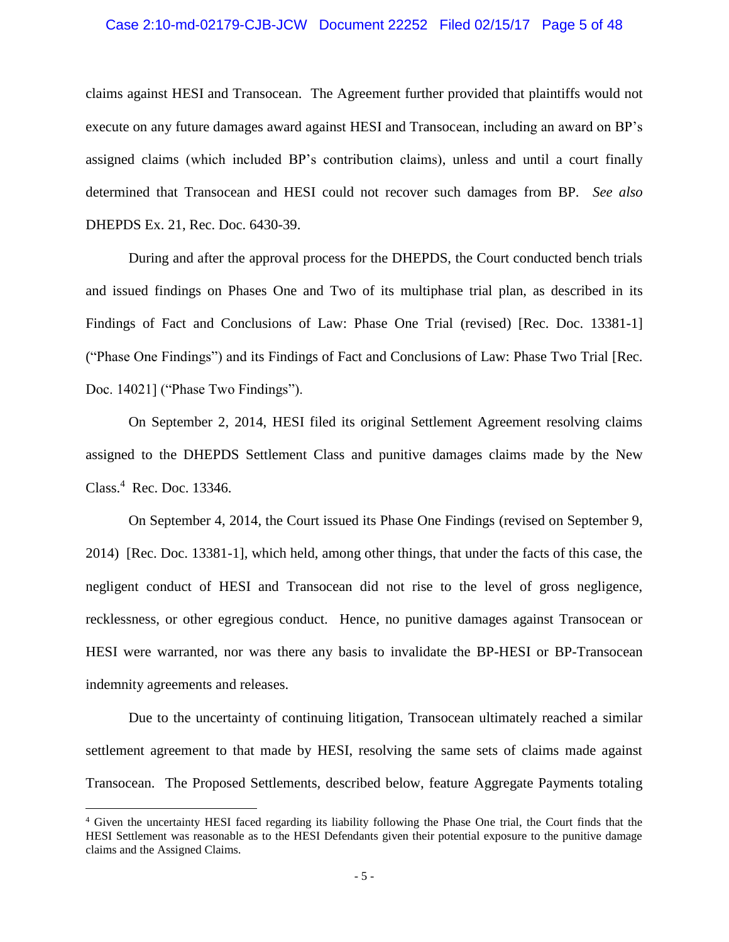#### Case 2:10-md-02179-CJB-JCW Document 22252 Filed 02/15/17 Page 5 of 48

claims against HESI and Transocean. The Agreement further provided that plaintiffs would not execute on any future damages award against HESI and Transocean, including an award on BP's assigned claims (which included BP's contribution claims), unless and until a court finally determined that Transocean and HESI could not recover such damages from BP. *See also*  DHEPDS Ex. 21, Rec. Doc. 6430-39.

During and after the approval process for the DHEPDS, the Court conducted bench trials and issued findings on Phases One and Two of its multiphase trial plan, as described in its Findings of Fact and Conclusions of Law: Phase One Trial (revised) [Rec. Doc. 13381-1] ("Phase One Findings") and its Findings of Fact and Conclusions of Law: Phase Two Trial [Rec. Doc. 14021] ("Phase Two Findings").

On September 2, 2014, HESI filed its original Settlement Agreement resolving claims assigned to the DHEPDS Settlement Class and punitive damages claims made by the New Class.<sup>4</sup> Rec. Doc. 13346.

On September 4, 2014, the Court issued its Phase One Findings (revised on September 9, 2014) [Rec. Doc. 13381-1], which held, among other things, that under the facts of this case, the negligent conduct of HESI and Transocean did not rise to the level of gross negligence, recklessness, or other egregious conduct. Hence, no punitive damages against Transocean or HESI were warranted, nor was there any basis to invalidate the BP-HESI or BP-Transocean indemnity agreements and releases.

Due to the uncertainty of continuing litigation, Transocean ultimately reached a similar settlement agreement to that made by HESI, resolving the same sets of claims made against Transocean. The Proposed Settlements, described below, feature Aggregate Payments totaling

<sup>4</sup> Given the uncertainty HESI faced regarding its liability following the Phase One trial, the Court finds that the HESI Settlement was reasonable as to the HESI Defendants given their potential exposure to the punitive damage claims and the Assigned Claims.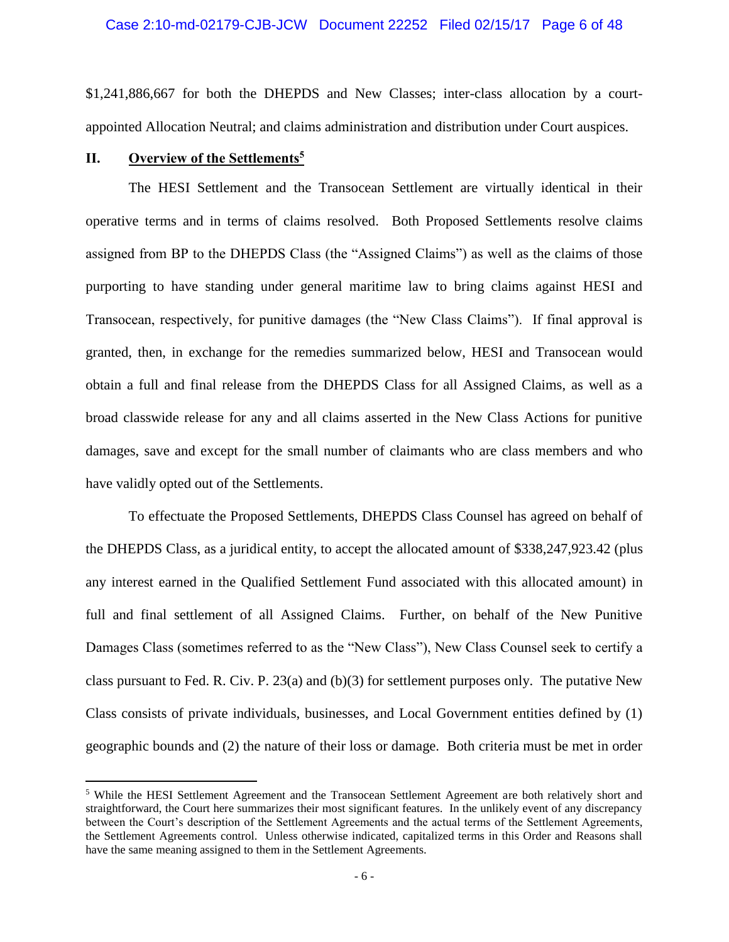\$1,241,886,667 for both the DHEPDS and New Classes; inter-class allocation by a courtappointed Allocation Neutral; and claims administration and distribution under Court auspices.

#### **II. Overview of the Settlements<sup>5</sup>**

 $\overline{a}$ 

The HESI Settlement and the Transocean Settlement are virtually identical in their operative terms and in terms of claims resolved. Both Proposed Settlements resolve claims assigned from BP to the DHEPDS Class (the "Assigned Claims") as well as the claims of those purporting to have standing under general maritime law to bring claims against HESI and Transocean, respectively, for punitive damages (the "New Class Claims"). If final approval is granted, then, in exchange for the remedies summarized below, HESI and Transocean would obtain a full and final release from the DHEPDS Class for all Assigned Claims, as well as a broad classwide release for any and all claims asserted in the New Class Actions for punitive damages, save and except for the small number of claimants who are class members and who have validly opted out of the Settlements.

To effectuate the Proposed Settlements, DHEPDS Class Counsel has agreed on behalf of the DHEPDS Class, as a juridical entity, to accept the allocated amount of \$338,247,923.42 (plus any interest earned in the Qualified Settlement Fund associated with this allocated amount) in full and final settlement of all Assigned Claims. Further, on behalf of the New Punitive Damages Class (sometimes referred to as the "New Class"), New Class Counsel seek to certify a class pursuant to Fed. R. Civ. P. 23(a) and (b)(3) for settlement purposes only. The putative New Class consists of private individuals, businesses, and Local Government entities defined by (1) geographic bounds and (2) the nature of their loss or damage. Both criteria must be met in order

<sup>5</sup> While the HESI Settlement Agreement and the Transocean Settlement Agreement are both relatively short and straightforward, the Court here summarizes their most significant features. In the unlikely event of any discrepancy between the Court's description of the Settlement Agreements and the actual terms of the Settlement Agreements, the Settlement Agreements control. Unless otherwise indicated, capitalized terms in this Order and Reasons shall have the same meaning assigned to them in the Settlement Agreements.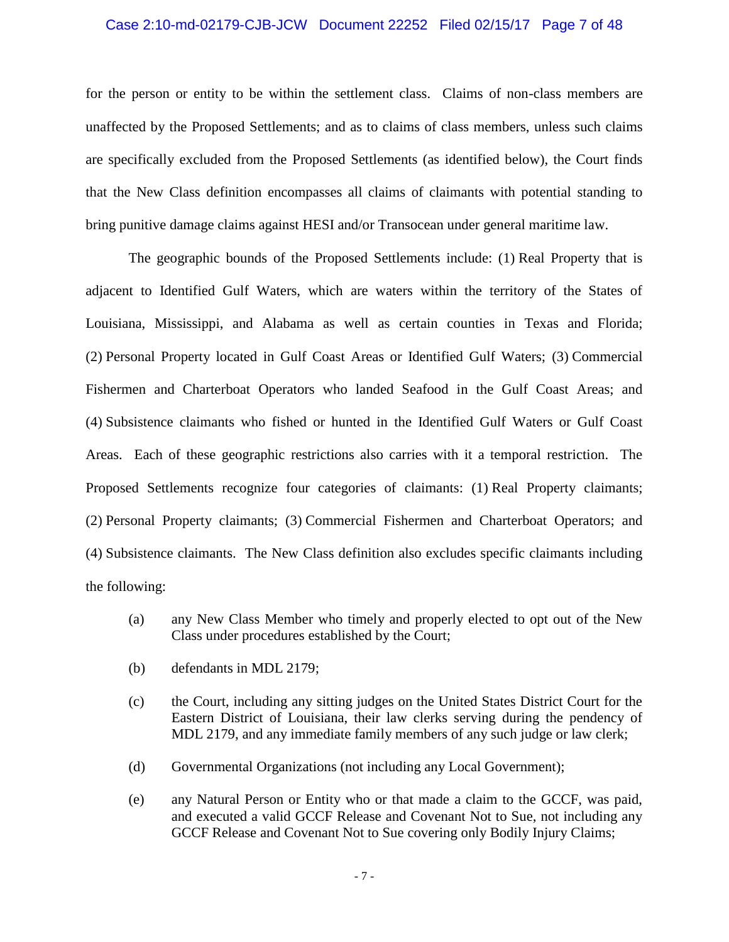#### Case 2:10-md-02179-CJB-JCW Document 22252 Filed 02/15/17 Page 7 of 48

for the person or entity to be within the settlement class. Claims of non-class members are unaffected by the Proposed Settlements; and as to claims of class members, unless such claims are specifically excluded from the Proposed Settlements (as identified below), the Court finds that the New Class definition encompasses all claims of claimants with potential standing to bring punitive damage claims against HESI and/or Transocean under general maritime law.

The geographic bounds of the Proposed Settlements include: (1) Real Property that is adjacent to Identified Gulf Waters, which are waters within the territory of the States of Louisiana, Mississippi, and Alabama as well as certain counties in Texas and Florida; (2) Personal Property located in Gulf Coast Areas or Identified Gulf Waters; (3) Commercial Fishermen and Charterboat Operators who landed Seafood in the Gulf Coast Areas; and (4) Subsistence claimants who fished or hunted in the Identified Gulf Waters or Gulf Coast Areas. Each of these geographic restrictions also carries with it a temporal restriction. The Proposed Settlements recognize four categories of claimants: (1) Real Property claimants; (2) Personal Property claimants; (3) Commercial Fishermen and Charterboat Operators; and (4) Subsistence claimants. The New Class definition also excludes specific claimants including the following:

- (a) any New Class Member who timely and properly elected to opt out of the New Class under procedures established by the Court;
- (b) defendants in MDL 2179;
- (c) the Court, including any sitting judges on the United States District Court for the Eastern District of Louisiana, their law clerks serving during the pendency of MDL 2179, and any immediate family members of any such judge or law clerk;
- (d) Governmental Organizations (not including any Local Government);
- (e) any Natural Person or Entity who or that made a claim to the GCCF, was paid, and executed a valid GCCF Release and Covenant Not to Sue, not including any GCCF Release and Covenant Not to Sue covering only Bodily Injury Claims;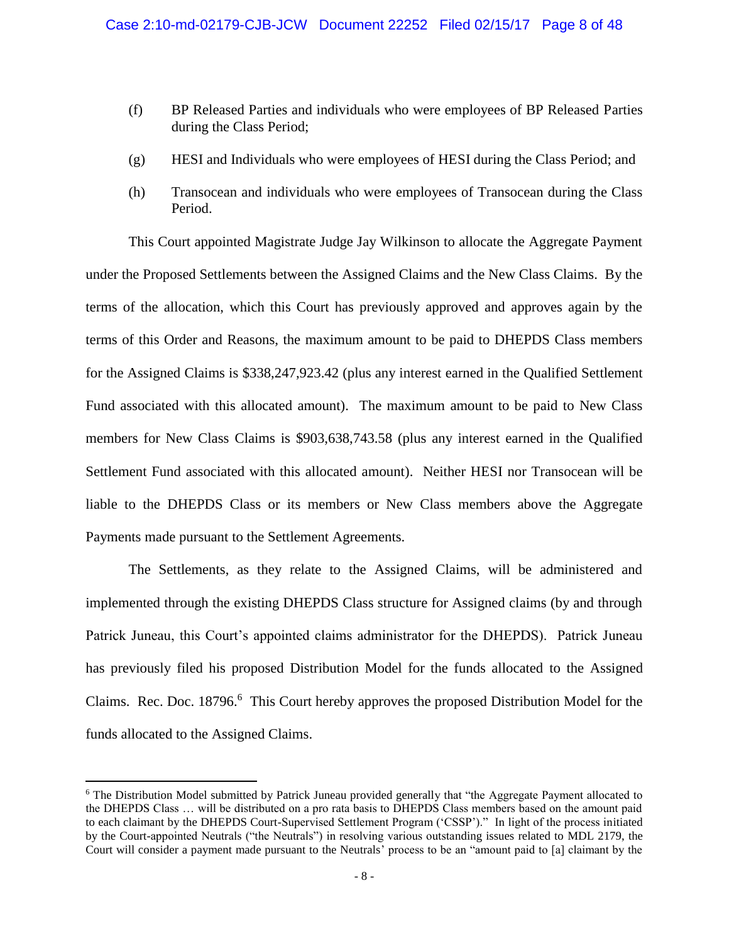- (f) BP Released Parties and individuals who were employees of BP Released Parties during the Class Period;
- (g) HESI and Individuals who were employees of HESI during the Class Period; and
- (h) Transocean and individuals who were employees of Transocean during the Class Period.

This Court appointed Magistrate Judge Jay Wilkinson to allocate the Aggregate Payment under the Proposed Settlements between the Assigned Claims and the New Class Claims. By the terms of the allocation, which this Court has previously approved and approves again by the terms of this Order and Reasons, the maximum amount to be paid to DHEPDS Class members for the Assigned Claims is \$338,247,923.42 (plus any interest earned in the Qualified Settlement Fund associated with this allocated amount). The maximum amount to be paid to New Class members for New Class Claims is \$903,638,743.58 (plus any interest earned in the Qualified Settlement Fund associated with this allocated amount). Neither HESI nor Transocean will be liable to the DHEPDS Class or its members or New Class members above the Aggregate Payments made pursuant to the Settlement Agreements.

The Settlements, as they relate to the Assigned Claims, will be administered and implemented through the existing DHEPDS Class structure for Assigned claims (by and through Patrick Juneau, this Court's appointed claims administrator for the DHEPDS). Patrick Juneau has previously filed his proposed Distribution Model for the funds allocated to the Assigned Claims. Rec. Doc. 18796.<sup>6</sup> This Court hereby approves the proposed Distribution Model for the funds allocated to the Assigned Claims.

<sup>6</sup> The Distribution Model submitted by Patrick Juneau provided generally that "the Aggregate Payment allocated to the DHEPDS Class … will be distributed on a pro rata basis to DHEPDS Class members based on the amount paid to each claimant by the DHEPDS Court-Supervised Settlement Program ('CSSP')." In light of the process initiated by the Court-appointed Neutrals ("the Neutrals") in resolving various outstanding issues related to MDL 2179, the Court will consider a payment made pursuant to the Neutrals' process to be an "amount paid to [a] claimant by the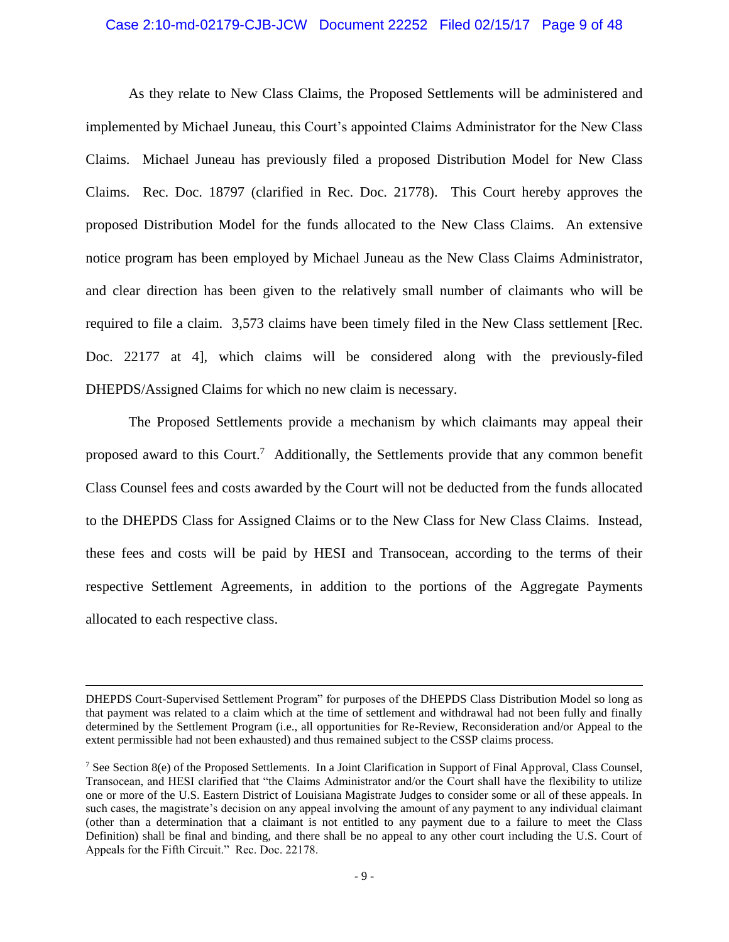#### Case 2:10-md-02179-CJB-JCW Document 22252 Filed 02/15/17 Page 9 of 48

As they relate to New Class Claims, the Proposed Settlements will be administered and implemented by Michael Juneau, this Court's appointed Claims Administrator for the New Class Claims. Michael Juneau has previously filed a proposed Distribution Model for New Class Claims. Rec. Doc. 18797 (clarified in Rec. Doc. 21778). This Court hereby approves the proposed Distribution Model for the funds allocated to the New Class Claims. An extensive notice program has been employed by Michael Juneau as the New Class Claims Administrator, and clear direction has been given to the relatively small number of claimants who will be required to file a claim. 3,573 claims have been timely filed in the New Class settlement [Rec. Doc. 22177 at 4], which claims will be considered along with the previously-filed DHEPDS/Assigned Claims for which no new claim is necessary.

The Proposed Settlements provide a mechanism by which claimants may appeal their proposed award to this Court.<sup>7</sup> Additionally, the Settlements provide that any common benefit Class Counsel fees and costs awarded by the Court will not be deducted from the funds allocated to the DHEPDS Class for Assigned Claims or to the New Class for New Class Claims. Instead, these fees and costs will be paid by HESI and Transocean, according to the terms of their respective Settlement Agreements, in addition to the portions of the Aggregate Payments allocated to each respective class.

DHEPDS Court-Supervised Settlement Program" for purposes of the DHEPDS Class Distribution Model so long as that payment was related to a claim which at the time of settlement and withdrawal had not been fully and finally determined by the Settlement Program (i.e., all opportunities for Re-Review, Reconsideration and/or Appeal to the extent permissible had not been exhausted) and thus remained subject to the CSSP claims process.

<sup>&</sup>lt;sup>7</sup> See Section 8(e) of the Proposed Settlements. In a Joint Clarification in Support of Final Approval, Class Counsel, Transocean, and HESI clarified that "the Claims Administrator and/or the Court shall have the flexibility to utilize one or more of the U.S. Eastern District of Louisiana Magistrate Judges to consider some or all of these appeals. In such cases, the magistrate's decision on any appeal involving the amount of any payment to any individual claimant (other than a determination that a claimant is not entitled to any payment due to a failure to meet the Class Definition) shall be final and binding, and there shall be no appeal to any other court including the U.S. Court of Appeals for the Fifth Circuit." Rec. Doc. 22178.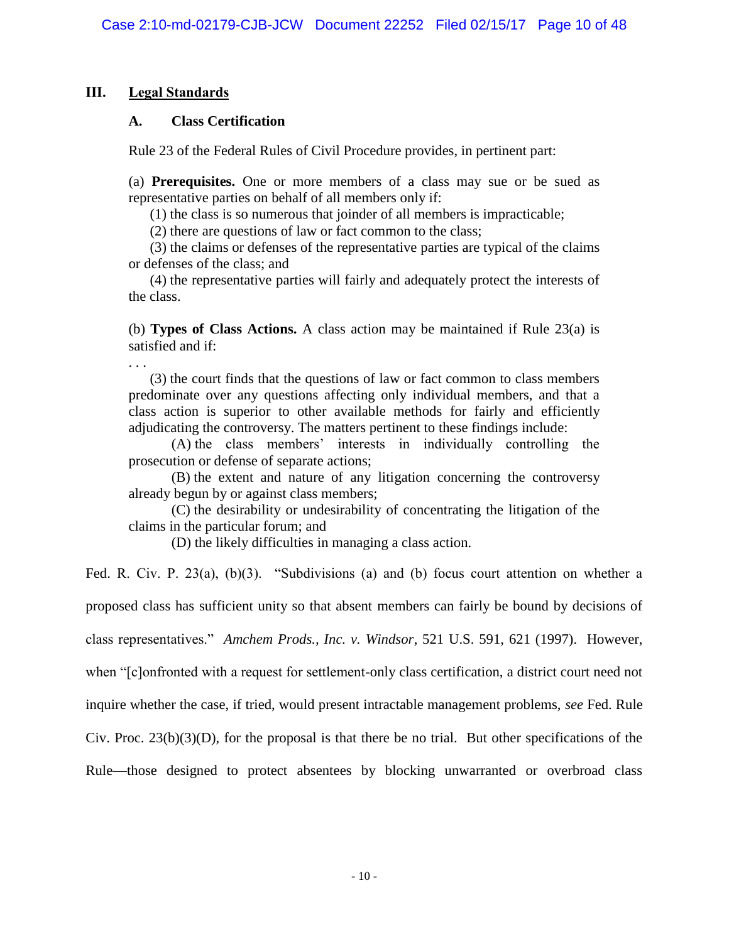# **III. Legal Standards**

# **A. Class Certification**

Rule 23 of the Federal Rules of Civil Procedure provides, in pertinent part:

(a) **Prerequisites.** One or more members of a class may sue or be sued as representative parties on behalf of all members only if:

(1) the class is so numerous that joinder of all members is impracticable;

(2) there are questions of law or fact common to the class;

(3) the claims or defenses of the representative parties are typical of the claims or defenses of the class; and

(4) the representative parties will fairly and adequately protect the interests of the class.

(b) **Types of Class Actions.** A class action may be maintained if Rule 23(a) is satisfied and if:

. . .

(3) the court finds that the questions of law or fact common to class members predominate over any questions affecting only individual members, and that a class action is superior to other available methods for fairly and efficiently adjudicating the controversy. The matters pertinent to these findings include:

(A) the class members' interests in individually controlling the prosecution or defense of separate actions;

(B) the extent and nature of any litigation concerning the controversy already begun by or against class members;

(C) the desirability or undesirability of concentrating the litigation of the claims in the particular forum; and

(D) the likely difficulties in managing a class action.

Fed. R. Civ. P. 23(a), (b)(3). "Subdivisions (a) and (b) focus court attention on whether a

proposed class has sufficient unity so that absent members can fairly be bound by decisions of

class representatives." *Amchem Prods., Inc. v. Windsor*, 521 U.S. 591, 621 (1997). However,

when "[c]onfronted with a request for settlement-only class certification, a district court need not

inquire whether the case, if tried, would present intractable management problems, *see* Fed. Rule

Civ. Proc.  $23(b)(3)(D)$ , for the proposal is that there be no trial. But other specifications of the

Rule—those designed to protect absentees by blocking unwarranted or overbroad class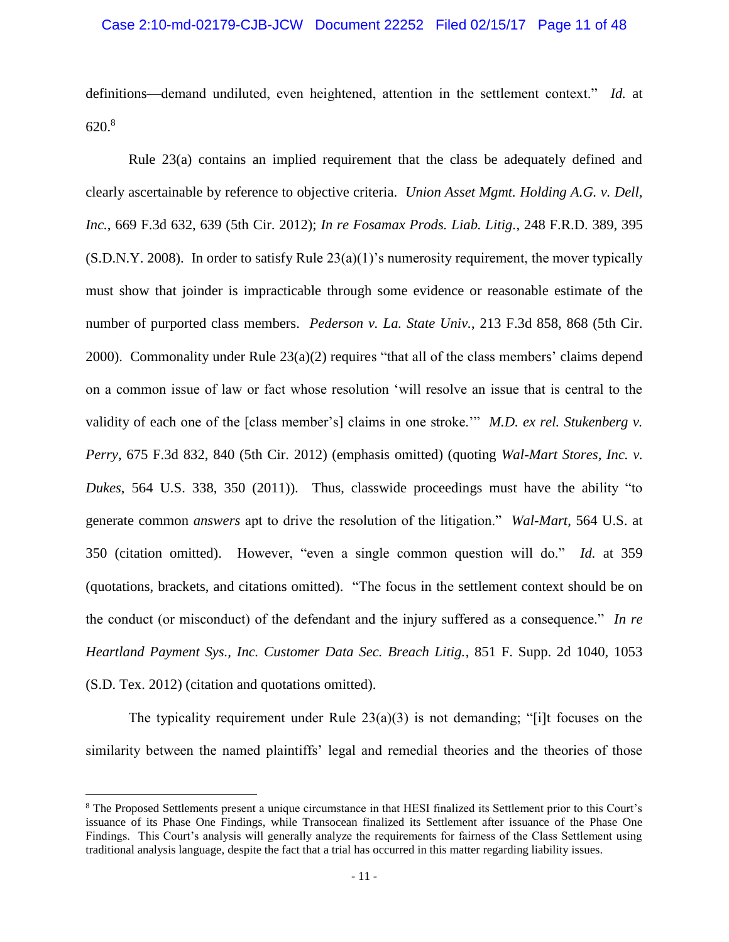definitions—demand undiluted, even heightened, attention in the settlement context." *Id.* at 620.<sup>8</sup>

Rule 23(a) contains an implied requirement that the class be adequately defined and clearly ascertainable by reference to objective criteria. *Union Asset Mgmt. Holding A.G. v. Dell, Inc.*, 669 F.3d 632, 639 (5th Cir. 2012); *In re Fosamax Prods. Liab. Litig.*, 248 F.R.D. 389, 395  $(S.D.N.Y. 2008)$ . In order to satisfy Rule  $23(a)(1)$ 's numerosity requirement, the mover typically must show that joinder is impracticable through some evidence or reasonable estimate of the number of purported class members. *Pederson v. La. State Univ.*, 213 F.3d 858, 868 (5th Cir. 2000). Commonality under Rule 23(a)(2) requires "that all of the class members' claims depend on a common issue of law or fact whose resolution 'will resolve an issue that is central to the validity of each one of the [class member's] claims in one stroke.'" *M.D. ex rel. Stukenberg v. Perry*, 675 F.3d 832, 840 (5th Cir. 2012) (emphasis omitted) (quoting *Wal-Mart Stores, Inc. v. Dukes*, 564 U.S. 338, 350 (2011)). Thus, classwide proceedings must have the ability "to generate common *answers* apt to drive the resolution of the litigation." *Wal-Mart*, 564 U.S. at 350 (citation omitted). However, "even a single common question will do." *Id.* at 359 (quotations, brackets, and citations omitted). "The focus in the settlement context should be on the conduct (or misconduct) of the defendant and the injury suffered as a consequence." *In re Heartland Payment Sys., Inc. Customer Data Sec. Breach Litig.*, 851 F. Supp. 2d 1040, 1053 (S.D. Tex. 2012) (citation and quotations omitted).

The typicality requirement under Rule  $23(a)(3)$  is not demanding; "[i]t focuses on the similarity between the named plaintiffs' legal and remedial theories and the theories of those

<sup>8</sup> The Proposed Settlements present a unique circumstance in that HESI finalized its Settlement prior to this Court's issuance of its Phase One Findings, while Transocean finalized its Settlement after issuance of the Phase One Findings. This Court's analysis will generally analyze the requirements for fairness of the Class Settlement using traditional analysis language, despite the fact that a trial has occurred in this matter regarding liability issues.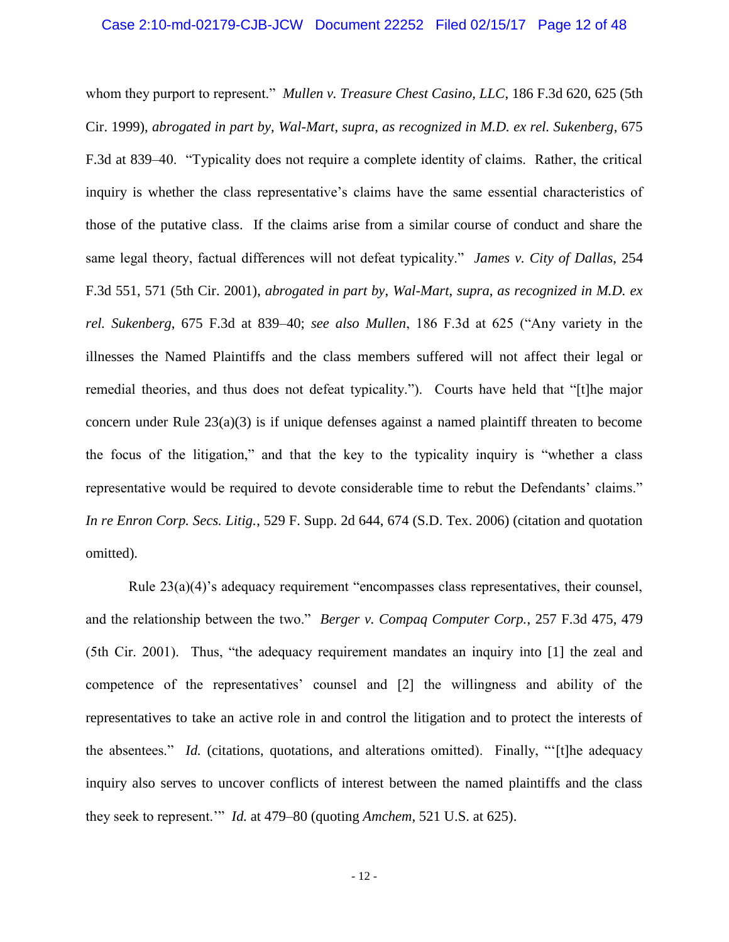#### Case 2:10-md-02179-CJB-JCW Document 22252 Filed 02/15/17 Page 12 of 48

whom they purport to represent." *Mullen v. Treasure Chest Casino, LLC*, 186 F.3d 620, 625 (5th Cir. 1999), *abrogated in part by*, *Wal-Mart*, *supra*, *as recognized in M.D. ex rel. Sukenberg*, 675 F.3d at 839–40. "Typicality does not require a complete identity of claims. Rather, the critical inquiry is whether the class representative's claims have the same essential characteristics of those of the putative class. If the claims arise from a similar course of conduct and share the same legal theory, factual differences will not defeat typicality." *James v. City of Dallas*, 254 F.3d 551, 571 (5th Cir. 2001), *abrogated in part by*, *Wal-Mart*, *supra*, *as recognized in M.D. ex rel. Sukenberg*, 675 F.3d at 839–40; *see also Mullen*, 186 F.3d at 625 ("Any variety in the illnesses the Named Plaintiffs and the class members suffered will not affect their legal or remedial theories, and thus does not defeat typicality."). Courts have held that "[t]he major concern under Rule 23(a)(3) is if unique defenses against a named plaintiff threaten to become the focus of the litigation," and that the key to the typicality inquiry is "whether a class representative would be required to devote considerable time to rebut the Defendants' claims." *In re Enron Corp. Secs. Litig.*, 529 F. Supp. 2d 644, 674 (S.D. Tex. 2006) (citation and quotation omitted).

Rule 23(a)(4)'s adequacy requirement "encompasses class representatives, their counsel, and the relationship between the two." *Berger v. Compaq Computer Corp.*, 257 F.3d 475, 479 (5th Cir. 2001). Thus, "the adequacy requirement mandates an inquiry into [1] the zeal and competence of the representatives' counsel and [2] the willingness and ability of the representatives to take an active role in and control the litigation and to protect the interests of the absentees." *Id.* (citations, quotations, and alterations omitted). Finally, "'[t]he adequacy inquiry also serves to uncover conflicts of interest between the named plaintiffs and the class they seek to represent.'" *Id.* at 479–80 (quoting *Amchem*, 521 U.S. at 625).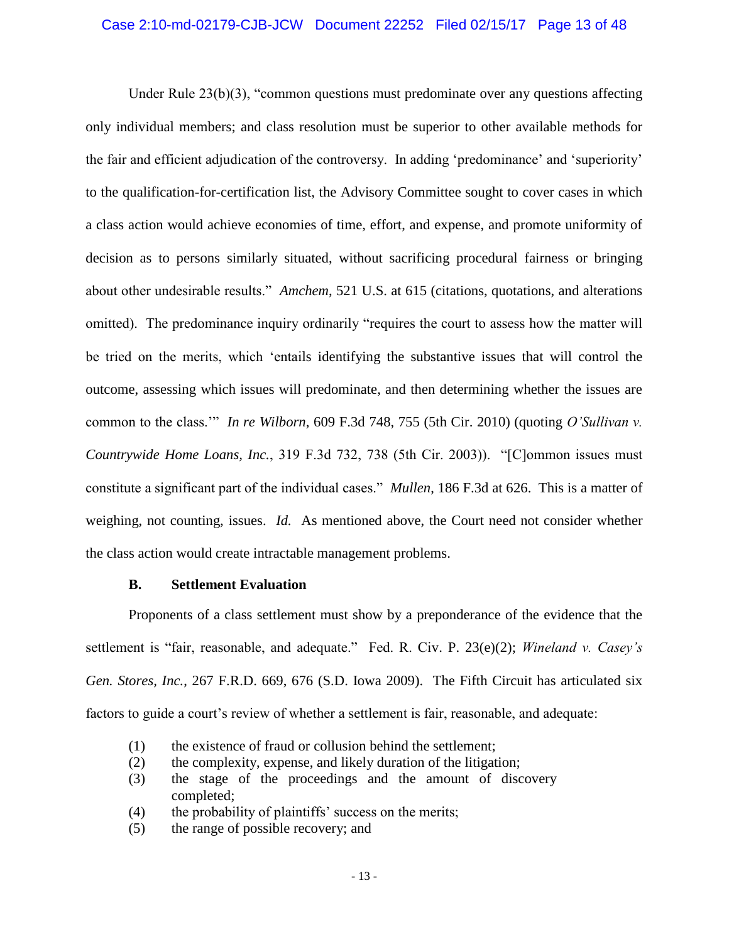# Case 2:10-md-02179-CJB-JCW Document 22252 Filed 02/15/17 Page 13 of 48

Under Rule 23(b)(3), "common questions must predominate over any questions affecting only individual members; and class resolution must be superior to other available methods for the fair and efficient adjudication of the controversy. In adding 'predominance' and 'superiority' to the qualification-for-certification list, the Advisory Committee sought to cover cases in which a class action would achieve economies of time, effort, and expense, and promote uniformity of decision as to persons similarly situated, without sacrificing procedural fairness or bringing about other undesirable results." *Amchem*, 521 U.S. at 615 (citations, quotations, and alterations omitted). The predominance inquiry ordinarily "requires the court to assess how the matter will be tried on the merits, which 'entails identifying the substantive issues that will control the outcome, assessing which issues will predominate, and then determining whether the issues are common to the class.'" *In re Wilborn*, 609 F.3d 748, 755 (5th Cir. 2010) (quoting *O'Sullivan v. Countrywide Home Loans, Inc.*, 319 F.3d 732, 738 (5th Cir. 2003)). "[C]ommon issues must constitute a significant part of the individual cases." *Mullen*, 186 F.3d at 626. This is a matter of weighing, not counting, issues. *Id.* As mentioned above, the Court need not consider whether the class action would create intractable management problems.

#### **B. Settlement Evaluation**

Proponents of a class settlement must show by a preponderance of the evidence that the settlement is "fair, reasonable, and adequate." Fed. R. Civ. P. 23(e)(2); *Wineland v. Casey's Gen. Stores, Inc.*, 267 F.R.D. 669, 676 (S.D. Iowa 2009). The Fifth Circuit has articulated six factors to guide a court's review of whether a settlement is fair, reasonable, and adequate:

- (1) the existence of fraud or collusion behind the settlement;
- (2) the complexity, expense, and likely duration of the litigation;
- (3) the stage of the proceedings and the amount of discovery completed;
- (4) the probability of plaintiffs' success on the merits;
- (5) the range of possible recovery; and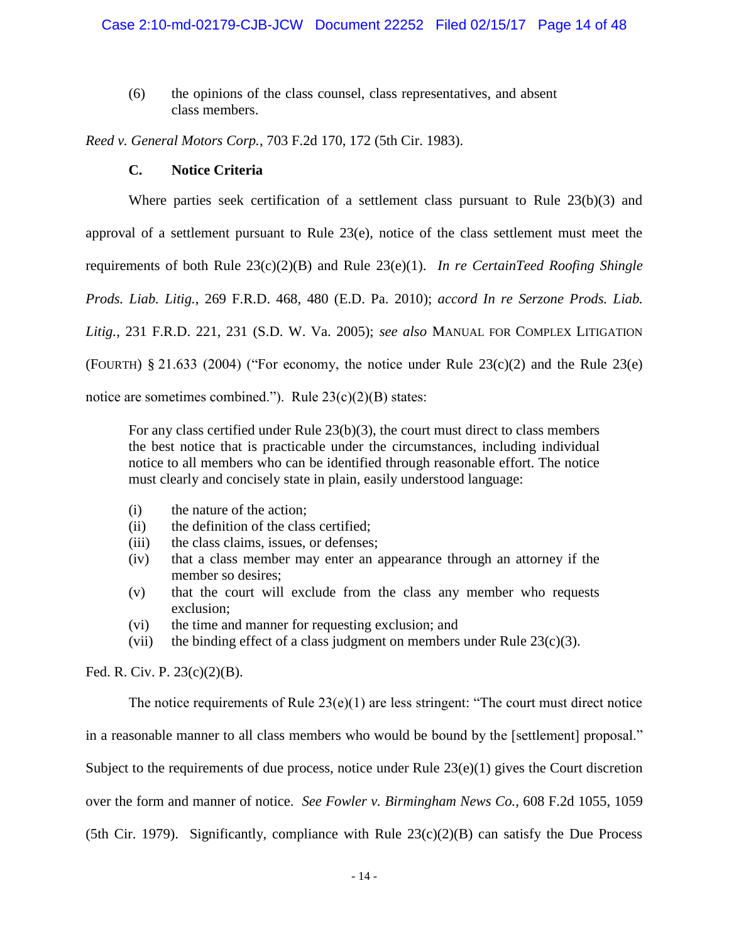(6) the opinions of the class counsel, class representatives, and absent class members.

*Reed v. General Motors Corp.*, 703 F.2d 170, 172 (5th Cir. 1983).

# **C. Notice Criteria**

Where parties seek certification of a settlement class pursuant to Rule 23(b)(3) and approval of a settlement pursuant to Rule 23(e), notice of the class settlement must meet the requirements of both Rule 23(c)(2)(B) and Rule 23(e)(1). *In re CertainTeed Roofing Shingle Prods. Liab. Litig.*, 269 F.R.D. 468, 480 (E.D. Pa. 2010); *accord In re Serzone Prods. Liab. Litig.*, 231 F.R.D. 221, 231 (S.D. W. Va. 2005); *see also* MANUAL FOR COMPLEX LITIGATION (FOURTH)  $§ 21.633$  (2004) ("For economy, the notice under Rule 23(c)(2) and the Rule 23(e) notice are sometimes combined."). Rule  $23(c)(2)(B)$  states:

For any class certified under Rule  $23(b)(3)$ , the court must direct to class members the best notice that is practicable under the circumstances, including individual notice to all members who can be identified through reasonable effort. The notice must clearly and concisely state in plain, easily understood language:

- (i) the nature of the action;
- (ii) the definition of the class certified;
- (iii) the class claims, issues, or defenses;
- (iv) that a class member may enter an appearance through an attorney if the member so desires;
- (v) that the court will exclude from the class any member who requests exclusion;
- (vi) the time and manner for requesting exclusion; and
- (vii) the binding effect of a class judgment on members under Rule  $23(c)(3)$ .

Fed. R. Civ. P. 23(c)(2)(B).

The notice requirements of Rule  $23(e)(1)$  are less stringent: "The court must direct notice in a reasonable manner to all class members who would be bound by the [settlement] proposal." Subject to the requirements of due process, notice under Rule  $23(e)(1)$  gives the Court discretion over the form and manner of notice. *See Fowler v. Birmingham News Co.*, 608 F.2d 1055, 1059 (5th Cir. 1979). Significantly, compliance with Rule  $23(c)(2)(B)$  can satisfy the Due Process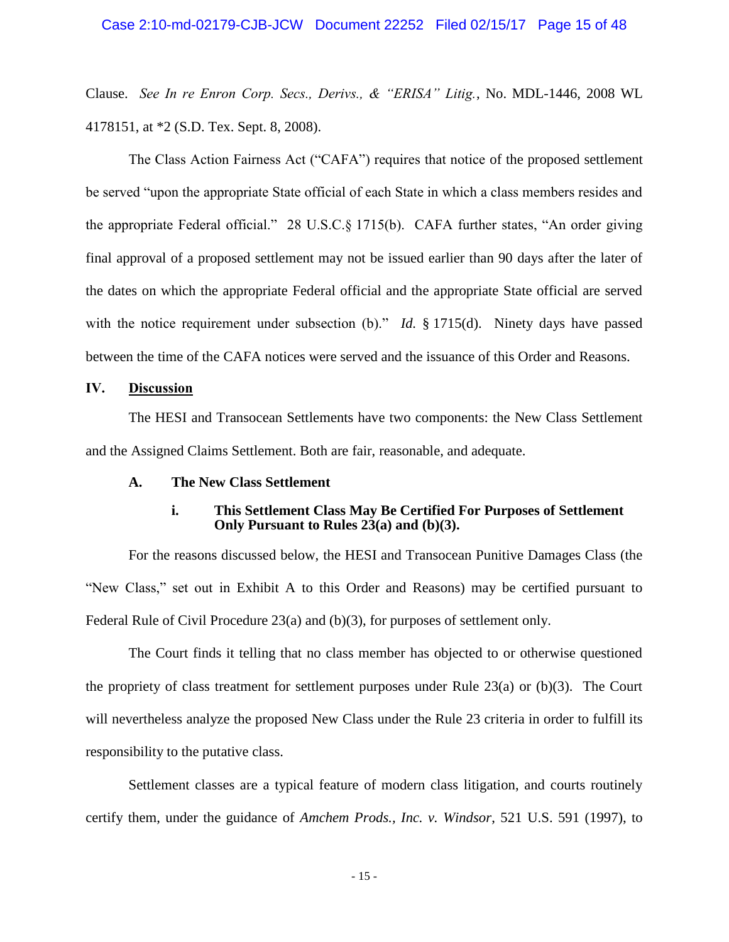Clause. *See In re Enron Corp. Secs., Derivs., & "ERISA" Litig.*, No. MDL-1446, 2008 WL 4178151, at \*2 (S.D. Tex. Sept. 8, 2008).

The Class Action Fairness Act ("CAFA") requires that notice of the proposed settlement be served "upon the appropriate State official of each State in which a class members resides and the appropriate Federal official." 28 U.S.C.§ 1715(b). CAFA further states, "An order giving final approval of a proposed settlement may not be issued earlier than 90 days after the later of the dates on which the appropriate Federal official and the appropriate State official are served with the notice requirement under subsection (b)." *Id.* § 1715(d). Ninety days have passed between the time of the CAFA notices were served and the issuance of this Order and Reasons.

# **IV. Discussion**

The HESI and Transocean Settlements have two components: the New Class Settlement and the Assigned Claims Settlement. Both are fair, reasonable, and adequate.

#### **A. The New Class Settlement**

# **i. This Settlement Class May Be Certified For Purposes of Settlement Only Pursuant to Rules 23(a) and (b)(3).**

For the reasons discussed below, the HESI and Transocean Punitive Damages Class (the "New Class," set out in Exhibit A to this Order and Reasons) may be certified pursuant to Federal Rule of Civil Procedure 23(a) and (b)(3), for purposes of settlement only.

The Court finds it telling that no class member has objected to or otherwise questioned the propriety of class treatment for settlement purposes under Rule 23(a) or (b)(3). The Court will nevertheless analyze the proposed New Class under the Rule 23 criteria in order to fulfill its responsibility to the putative class.

Settlement classes are a typical feature of modern class litigation, and courts routinely certify them, under the guidance of *Amchem Prods., Inc. v. Windsor*, 521 U.S. 591 (1997), to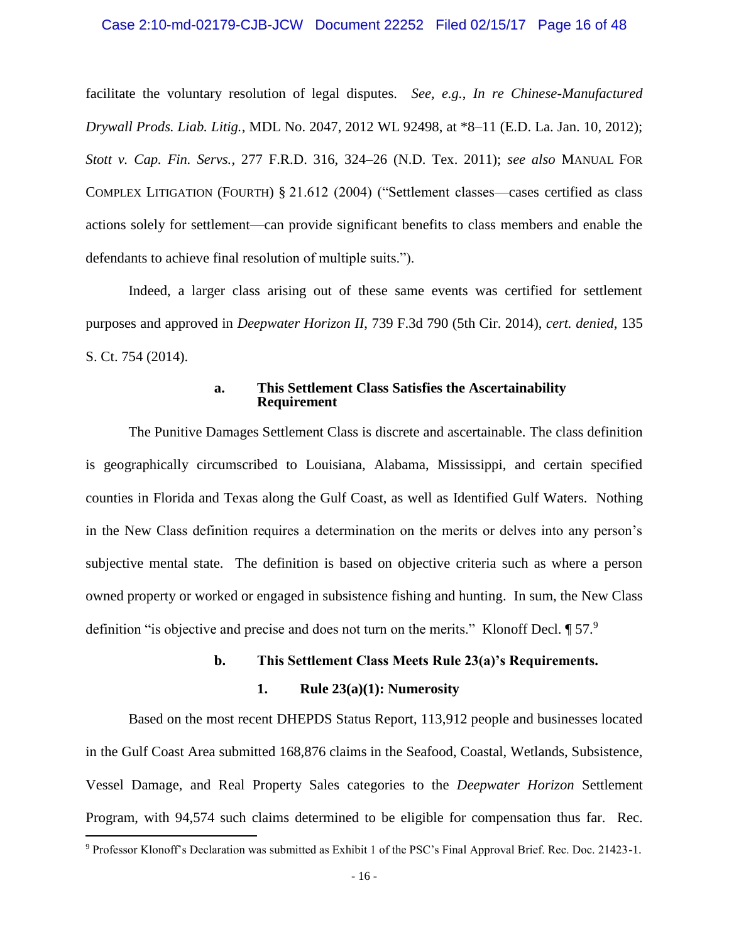#### Case 2:10-md-02179-CJB-JCW Document 22252 Filed 02/15/17 Page 16 of 48

facilitate the voluntary resolution of legal disputes. *See, e.g.*, *In re Chinese-Manufactured Drywall Prods. Liab. Litig.*, MDL No. 2047, 2012 WL 92498, at \*8–11 (E.D. La. Jan. 10, 2012); *Stott v. Cap. Fin. Servs.*, 277 F.R.D. 316, 324–26 (N.D. Tex. 2011); *see also* MANUAL FOR COMPLEX LITIGATION (FOURTH) § 21.612 (2004) ("Settlement classes—cases certified as class actions solely for settlement—can provide significant benefits to class members and enable the defendants to achieve final resolution of multiple suits.").

Indeed, a larger class arising out of these same events was certified for settlement purposes and approved in *Deepwater Horizon II*, 739 F.3d 790 (5th Cir. 2014), *cert. denied*, 135 S. Ct. 754 (2014).

#### **a. This Settlement Class Satisfies the Ascertainability Requirement**

The Punitive Damages Settlement Class is discrete and ascertainable. The class definition is geographically circumscribed to Louisiana, Alabama, Mississippi, and certain specified counties in Florida and Texas along the Gulf Coast, as well as Identified Gulf Waters. Nothing in the New Class definition requires a determination on the merits or delves into any person's subjective mental state. The definition is based on objective criteria such as where a person owned property or worked or engaged in subsistence fishing and hunting. In sum, the New Class definition "is objective and precise and does not turn on the merits." Klonoff Decl.  $\P$  57.<sup>9</sup>

# **b. This Settlement Class Meets Rule 23(a)'s Requirements.**

# **1. Rule 23(a)(1): Numerosity**

Based on the most recent DHEPDS Status Report, 113,912 people and businesses located in the Gulf Coast Area submitted 168,876 claims in the Seafood, Coastal, Wetlands, Subsistence, Vessel Damage, and Real Property Sales categories to the *Deepwater Horizon* Settlement Program, with 94,574 such claims determined to be eligible for compensation thus far. Rec.

<sup>9</sup> Professor Klonoff's Declaration was submitted as Exhibit 1 of the PSC's Final Approval Brief. Rec. Doc. 21423-1.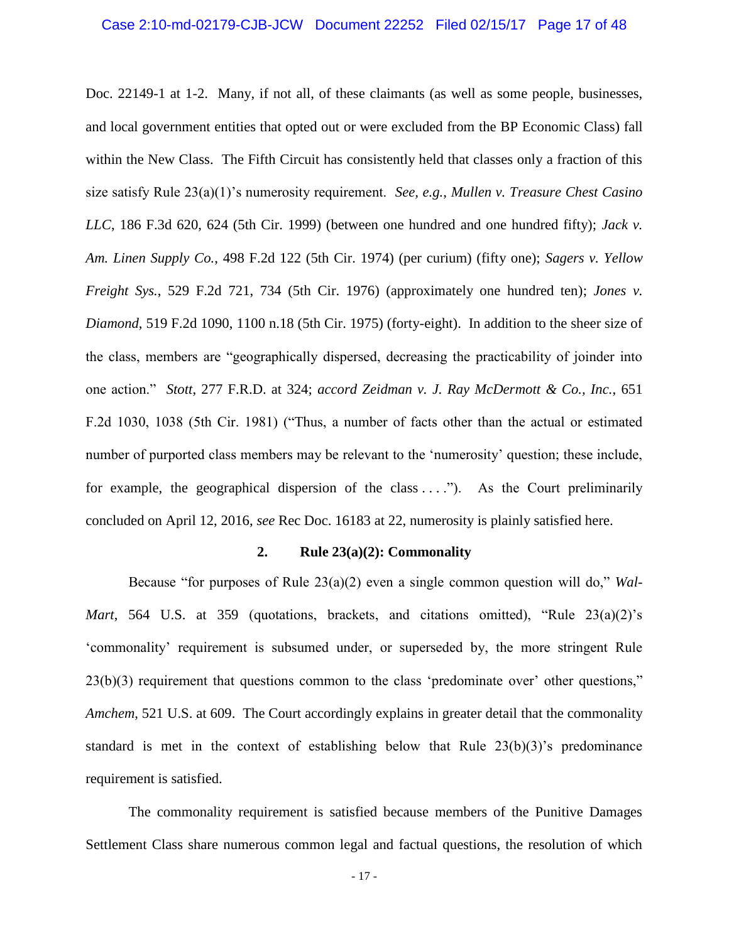Doc. 22149-1 at 1-2. Many, if not all, of these claimants (as well as some people, businesses, and local government entities that opted out or were excluded from the BP Economic Class) fall within the New Class. The Fifth Circuit has consistently held that classes only a fraction of this size satisfy Rule 23(a)(1)'s numerosity requirement. *See, e.g.*, *Mullen v. Treasure Chest Casino LLC*, 186 F.3d 620, 624 (5th Cir. 1999) (between one hundred and one hundred fifty); *Jack v. Am. Linen Supply Co.*, 498 F.2d 122 (5th Cir. 1974) (per curium) (fifty one); *Sagers v. Yellow Freight Sys.*, 529 F.2d 721, 734 (5th Cir. 1976) (approximately one hundred ten); *Jones v. Diamond*, 519 F.2d 1090, 1100 n.18 (5th Cir. 1975) (forty-eight). In addition to the sheer size of the class, members are "geographically dispersed, decreasing the practicability of joinder into one action." *Stott*, 277 F.R.D. at 324; *accord Zeidman v. J. Ray McDermott & Co., Inc.*, 651 F.2d 1030, 1038 (5th Cir. 1981) ("Thus, a number of facts other than the actual or estimated number of purported class members may be relevant to the 'numerosity' question; these include, for example, the geographical dispersion of the class  $\dots$ "). As the Court preliminarily concluded on April 12, 2016, *see* Rec Doc. 16183 at 22, numerosity is plainly satisfied here.

# **2. Rule 23(a)(2): Commonality**

Because "for purposes of Rule 23(a)(2) even a single common question will do," *Wal-Mart*, 564 U.S. at 359 (quotations, brackets, and citations omitted), "Rule 23(a)(2)'s 'commonality' requirement is subsumed under, or superseded by, the more stringent Rule 23(b)(3) requirement that questions common to the class 'predominate over' other questions," *Amchem*, 521 U.S. at 609. The Court accordingly explains in greater detail that the commonality standard is met in the context of establishing below that Rule 23(b)(3)'s predominance requirement is satisfied.

The commonality requirement is satisfied because members of the Punitive Damages Settlement Class share numerous common legal and factual questions, the resolution of which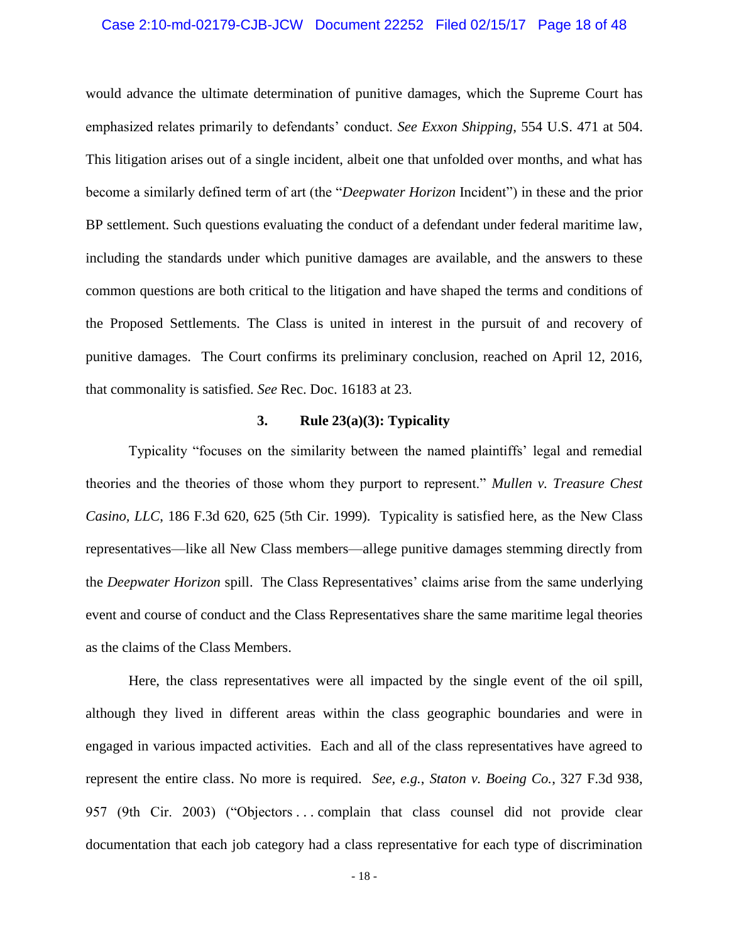#### Case 2:10-md-02179-CJB-JCW Document 22252 Filed 02/15/17 Page 18 of 48

would advance the ultimate determination of punitive damages, which the Supreme Court has emphasized relates primarily to defendants' conduct. *See Exxon Shipping*, 554 U.S. 471 at 504. This litigation arises out of a single incident, albeit one that unfolded over months, and what has become a similarly defined term of art (the "*Deepwater Horizon* Incident") in these and the prior BP settlement. Such questions evaluating the conduct of a defendant under federal maritime law, including the standards under which punitive damages are available, and the answers to these common questions are both critical to the litigation and have shaped the terms and conditions of the Proposed Settlements. The Class is united in interest in the pursuit of and recovery of punitive damages. The Court confirms its preliminary conclusion, reached on April 12, 2016, that commonality is satisfied. *See* Rec. Doc. 16183 at 23.

# **3. Rule 23(a)(3): Typicality**

Typicality "focuses on the similarity between the named plaintiffs' legal and remedial theories and the theories of those whom they purport to represent." *Mullen v. Treasure Chest Casino, LLC*, 186 F.3d 620, 625 (5th Cir. 1999). Typicality is satisfied here, as the New Class representatives—like all New Class members—allege punitive damages stemming directly from the *Deepwater Horizon* spill. The Class Representatives' claims arise from the same underlying event and course of conduct and the Class Representatives share the same maritime legal theories as the claims of the Class Members.

Here, the class representatives were all impacted by the single event of the oil spill, although they lived in different areas within the class geographic boundaries and were in engaged in various impacted activities. Each and all of the class representatives have agreed to represent the entire class. No more is required. *See, e.g.*, *Staton v. Boeing Co.*, 327 F.3d 938, 957 (9th Cir. 2003) ("Objectors . . . complain that class counsel did not provide clear documentation that each job category had a class representative for each type of discrimination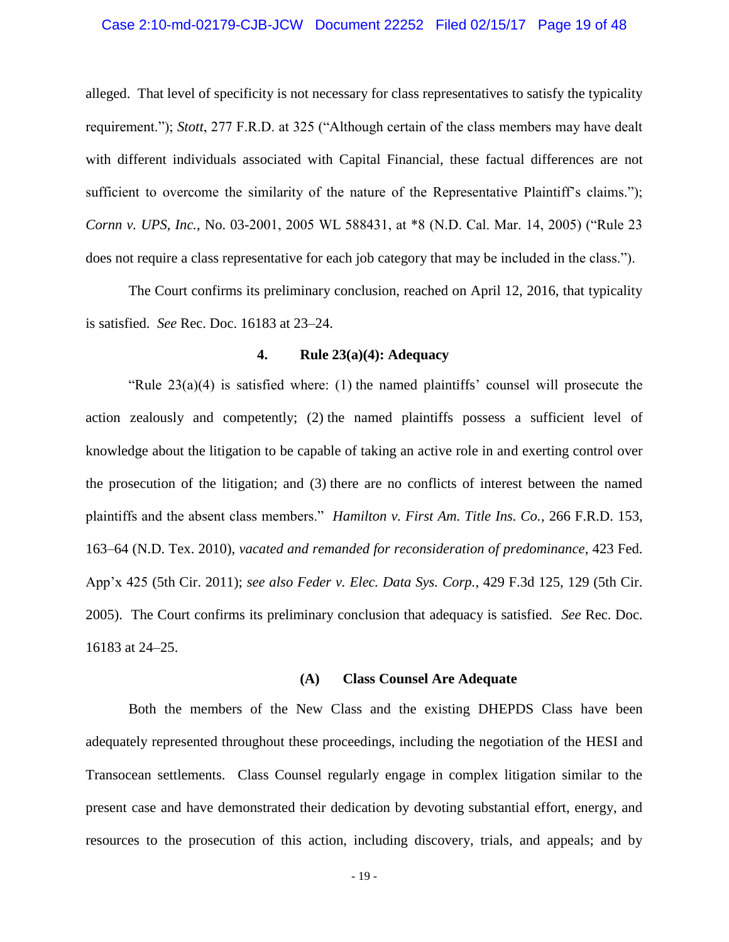#### Case 2:10-md-02179-CJB-JCW Document 22252 Filed 02/15/17 Page 19 of 48

alleged. That level of specificity is not necessary for class representatives to satisfy the typicality requirement."); *Stott*, 277 F.R.D. at 325 ("Although certain of the class members may have dealt with different individuals associated with Capital Financial, these factual differences are not sufficient to overcome the similarity of the nature of the Representative Plaintiff's claims."); *Cornn v. UPS, Inc.*, No. 03-2001, 2005 WL 588431, at \*8 (N.D. Cal. Mar. 14, 2005) ("Rule 23 does not require a class representative for each job category that may be included in the class.").

The Court confirms its preliminary conclusion, reached on April 12, 2016, that typicality is satisfied. *See* Rec. Doc. 16183 at 23–24.

#### **4. Rule 23(a)(4): Adequacy**

"Rule  $23(a)(4)$  is satisfied where: (1) the named plaintiffs' counsel will prosecute the action zealously and competently; (2) the named plaintiffs possess a sufficient level of knowledge about the litigation to be capable of taking an active role in and exerting control over the prosecution of the litigation; and (3) there are no conflicts of interest between the named plaintiffs and the absent class members." *Hamilton v. First Am. Title Ins. Co.*, 266 F.R.D. 153, 163–64 (N.D. Tex. 2010), *vacated and remanded for reconsideration of predominance*, 423 Fed. App'x 425 (5th Cir. 2011); *see also Feder v. Elec. Data Sys. Corp.*, 429 F.3d 125, 129 (5th Cir. 2005). The Court confirms its preliminary conclusion that adequacy is satisfied. *See* Rec. Doc. 16183 at 24–25.

#### **(A) Class Counsel Are Adequate**

Both the members of the New Class and the existing DHEPDS Class have been adequately represented throughout these proceedings, including the negotiation of the HESI and Transocean settlements. Class Counsel regularly engage in complex litigation similar to the present case and have demonstrated their dedication by devoting substantial effort, energy, and resources to the prosecution of this action, including discovery, trials, and appeals; and by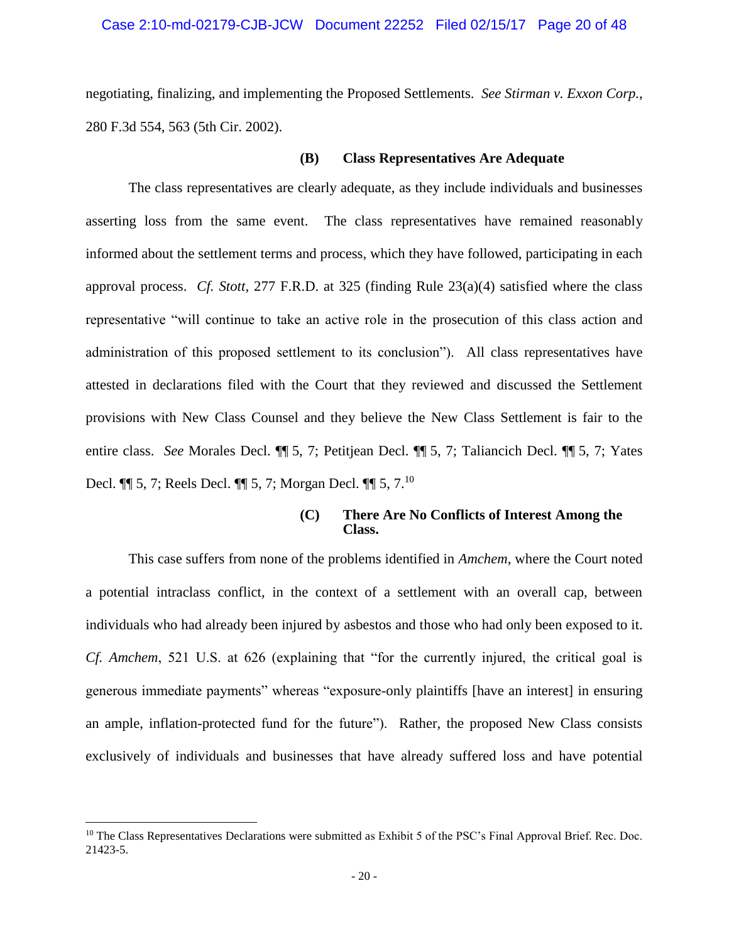#### Case 2:10-md-02179-CJB-JCW Document 22252 Filed 02/15/17 Page 20 of 48

negotiating, finalizing, and implementing the Proposed Settlements. *See Stirman v. Exxon Corp.*, 280 F.3d 554, 563 (5th Cir. 2002).

#### **(B) Class Representatives Are Adequate**

The class representatives are clearly adequate, as they include individuals and businesses asserting loss from the same event. The class representatives have remained reasonably informed about the settlement terms and process, which they have followed, participating in each approval process. *Cf. Stott*, 277 F.R.D. at 325 (finding Rule 23(a)(4) satisfied where the class representative "will continue to take an active role in the prosecution of this class action and administration of this proposed settlement to its conclusion"). All class representatives have attested in declarations filed with the Court that they reviewed and discussed the Settlement provisions with New Class Counsel and they believe the New Class Settlement is fair to the entire class. *See* Morales Decl. ¶¶ 5, 7; Petitjean Decl. ¶¶ 5, 7; Taliancich Decl. ¶¶ 5, 7; Yates Decl. ¶¶ 5, 7; Reels Decl. ¶¶ 5, 7; Morgan Decl. ¶¶ 5, 7.<sup>10</sup>

#### **(C) There Are No Conflicts of Interest Among the Class.**

This case suffers from none of the problems identified in *Amchem*, where the Court noted a potential intraclass conflict, in the context of a settlement with an overall cap, between individuals who had already been injured by asbestos and those who had only been exposed to it. *Cf. Amchem*, 521 U.S. at 626 (explaining that "for the currently injured, the critical goal is generous immediate payments" whereas "exposure-only plaintiffs [have an interest] in ensuring an ample, inflation-protected fund for the future"). Rather, the proposed New Class consists exclusively of individuals and businesses that have already suffered loss and have potential

<sup>&</sup>lt;sup>10</sup> The Class Representatives Declarations were submitted as Exhibit 5 of the PSC's Final Approval Brief. Rec. Doc. 21423-5.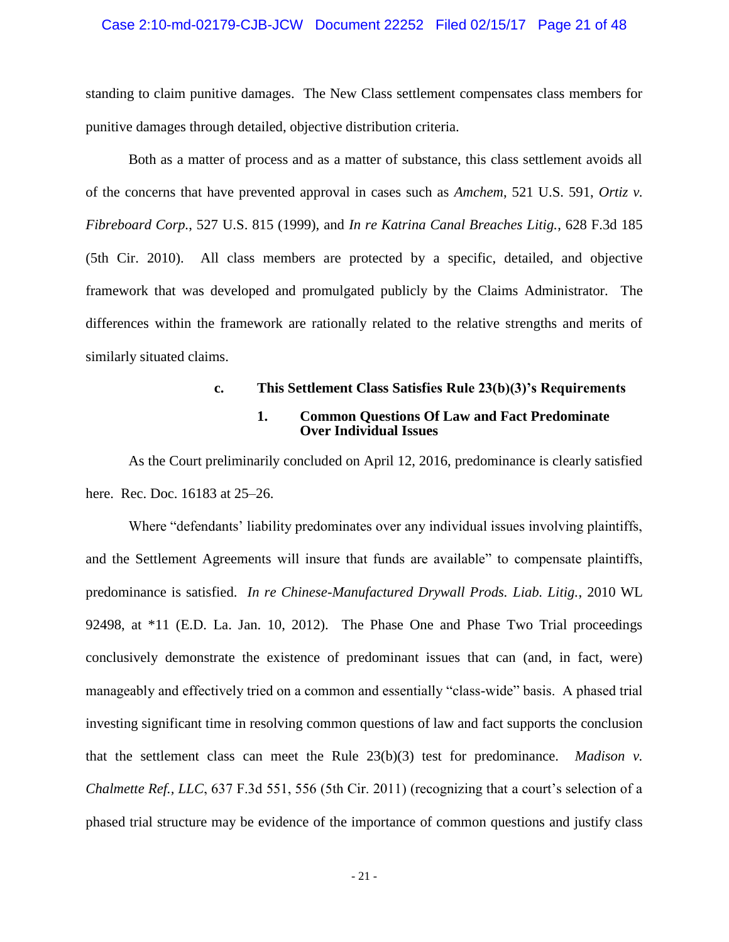#### Case 2:10-md-02179-CJB-JCW Document 22252 Filed 02/15/17 Page 21 of 48

standing to claim punitive damages. The New Class settlement compensates class members for punitive damages through detailed, objective distribution criteria.

Both as a matter of process and as a matter of substance, this class settlement avoids all of the concerns that have prevented approval in cases such as *Amchem*, 521 U.S. 591, *Ortiz v. Fibreboard Corp.*, 527 U.S. 815 (1999), and *In re Katrina Canal Breaches Litig.*, 628 F.3d 185 (5th Cir. 2010). All class members are protected by a specific, detailed, and objective framework that was developed and promulgated publicly by the Claims Administrator. The differences within the framework are rationally related to the relative strengths and merits of similarly situated claims.

# **c. This Settlement Class Satisfies Rule 23(b)(3)'s Requirements 1. Common Questions Of Law and Fact Predominate Over Individual Issues**

As the Court preliminarily concluded on April 12, 2016, predominance is clearly satisfied here. Rec. Doc. 16183 at 25–26.

Where "defendants' liability predominates over any individual issues involving plaintiffs, and the Settlement Agreements will insure that funds are available" to compensate plaintiffs, predominance is satisfied. *In re Chinese-Manufactured Drywall Prods. Liab. Litig.*, 2010 WL 92498, at \*11 (E.D. La. Jan. 10, 2012). The Phase One and Phase Two Trial proceedings conclusively demonstrate the existence of predominant issues that can (and, in fact, were) manageably and effectively tried on a common and essentially "class-wide" basis. A phased trial investing significant time in resolving common questions of law and fact supports the conclusion that the settlement class can meet the Rule 23(b)(3) test for predominance. *Madison v. Chalmette Ref., LLC*, 637 F.3d 551, 556 (5th Cir. 2011) (recognizing that a court's selection of a phased trial structure may be evidence of the importance of common questions and justify class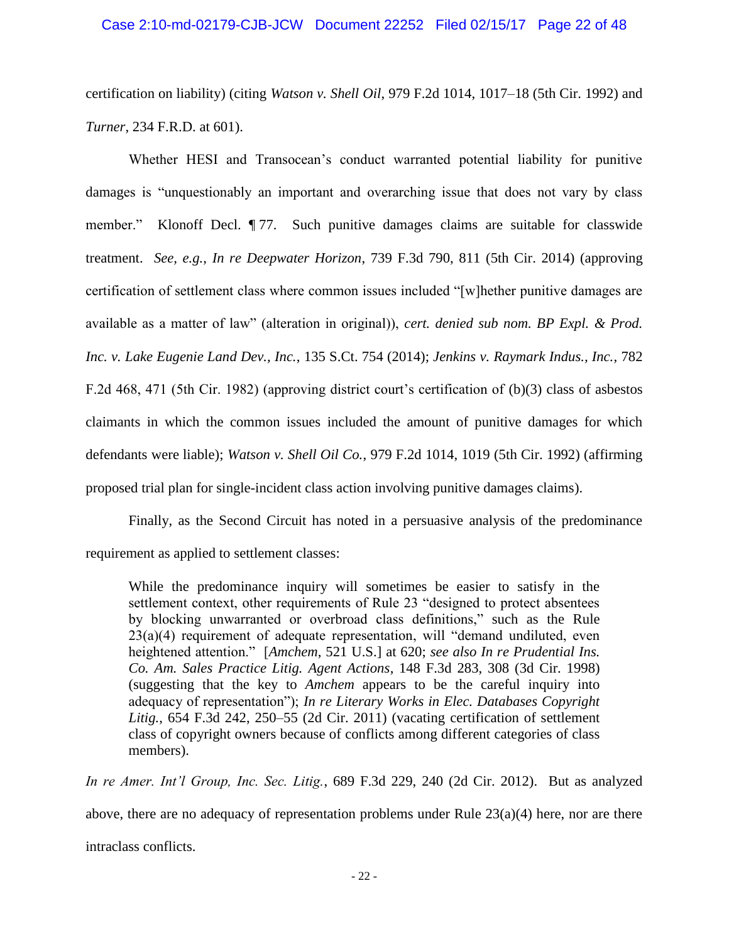# Case 2:10-md-02179-CJB-JCW Document 22252 Filed 02/15/17 Page 22 of 48

certification on liability) (citing *Watson v. Shell Oil*, 979 F.2d 1014, 1017–18 (5th Cir. 1992) and *Turner*, 234 F.R.D. at 601).

Whether HESI and Transocean's conduct warranted potential liability for punitive damages is "unquestionably an important and overarching issue that does not vary by class member." Klonoff Decl. ¶ 77. Such punitive damages claims are suitable for classwide treatment. *See, e.g.*, *In re Deepwater Horizon*, 739 F.3d 790, 811 (5th Cir. 2014) (approving certification of settlement class where common issues included "[w]hether punitive damages are available as a matter of law" (alteration in original)), *cert. denied sub nom. BP Expl. & Prod. Inc. v. Lake Eugenie Land Dev., Inc.*, 135 S.Ct. 754 (2014); *Jenkins v. Raymark Indus., Inc.*, 782 F.2d 468, 471 (5th Cir. 1982) (approving district court's certification of (b)(3) class of asbestos claimants in which the common issues included the amount of punitive damages for which defendants were liable); *Watson v. Shell Oil Co.*, 979 F.2d 1014, 1019 (5th Cir. 1992) (affirming proposed trial plan for single-incident class action involving punitive damages claims).

Finally, as the Second Circuit has noted in a persuasive analysis of the predominance requirement as applied to settlement classes:

While the predominance inquiry will sometimes be easier to satisfy in the settlement context, other requirements of Rule 23 "designed to protect absentees by blocking unwarranted or overbroad class definitions," such as the Rule 23(a)(4) requirement of adequate representation, will "demand undiluted, even heightened attention." [*Amchem*, 521 U.S.] at 620; *see also In re Prudential Ins. Co. Am. Sales Practice Litig. Agent Actions*, 148 F.3d 283, 308 (3d Cir. 1998) (suggesting that the key to *Amchem* appears to be the careful inquiry into adequacy of representation"); *In re Literary Works in Elec. Databases Copyright Litig.*, 654 F.3d 242, 250–55 (2d Cir. 2011) (vacating certification of settlement class of copyright owners because of conflicts among different categories of class members).

*In re Amer. Int'l Group, Inc. Sec. Litig.*, 689 F.3d 229, 240 (2d Cir. 2012). But as analyzed above, there are no adequacy of representation problems under Rule  $23(a)(4)$  here, nor are there intraclass conflicts.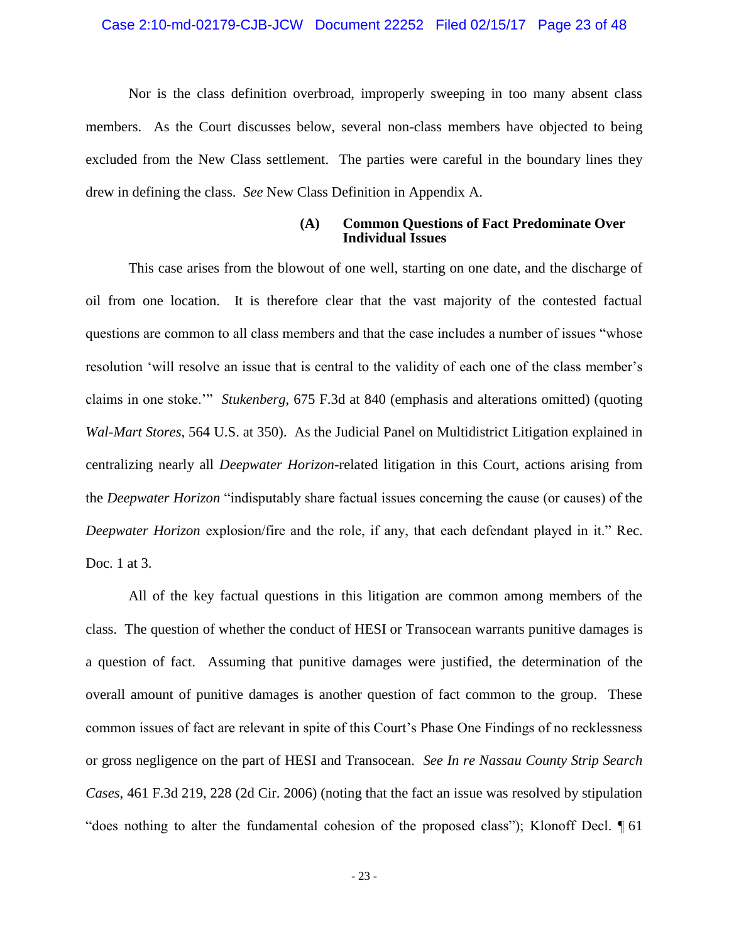#### Case 2:10-md-02179-CJB-JCW Document 22252 Filed 02/15/17 Page 23 of 48

Nor is the class definition overbroad, improperly sweeping in too many absent class members. As the Court discusses below, several non-class members have objected to being excluded from the New Class settlement. The parties were careful in the boundary lines they drew in defining the class. *See* New Class Definition in Appendix A.

#### **(A) Common Questions of Fact Predominate Over Individual Issues**

This case arises from the blowout of one well, starting on one date, and the discharge of oil from one location. It is therefore clear that the vast majority of the contested factual questions are common to all class members and that the case includes a number of issues "whose resolution 'will resolve an issue that is central to the validity of each one of the class member's claims in one stoke.'" *Stukenberg*, 675 F.3d at 840 (emphasis and alterations omitted) (quoting *Wal-Mart Stores*, 564 U.S. at 350). As the Judicial Panel on Multidistrict Litigation explained in centralizing nearly all *Deepwater Horizon*-related litigation in this Court, actions arising from the *Deepwater Horizon* "indisputably share factual issues concerning the cause (or causes) of the *Deepwater Horizon* explosion/fire and the role, if any, that each defendant played in it." Rec. Doc. 1 at 3.

All of the key factual questions in this litigation are common among members of the class. The question of whether the conduct of HESI or Transocean warrants punitive damages is a question of fact. Assuming that punitive damages were justified, the determination of the overall amount of punitive damages is another question of fact common to the group. These common issues of fact are relevant in spite of this Court's Phase One Findings of no recklessness or gross negligence on the part of HESI and Transocean. *See In re Nassau County Strip Search Cases*, 461 F.3d 219, 228 (2d Cir. 2006) (noting that the fact an issue was resolved by stipulation "does nothing to alter the fundamental cohesion of the proposed class"); Klonoff Decl. ¶ 61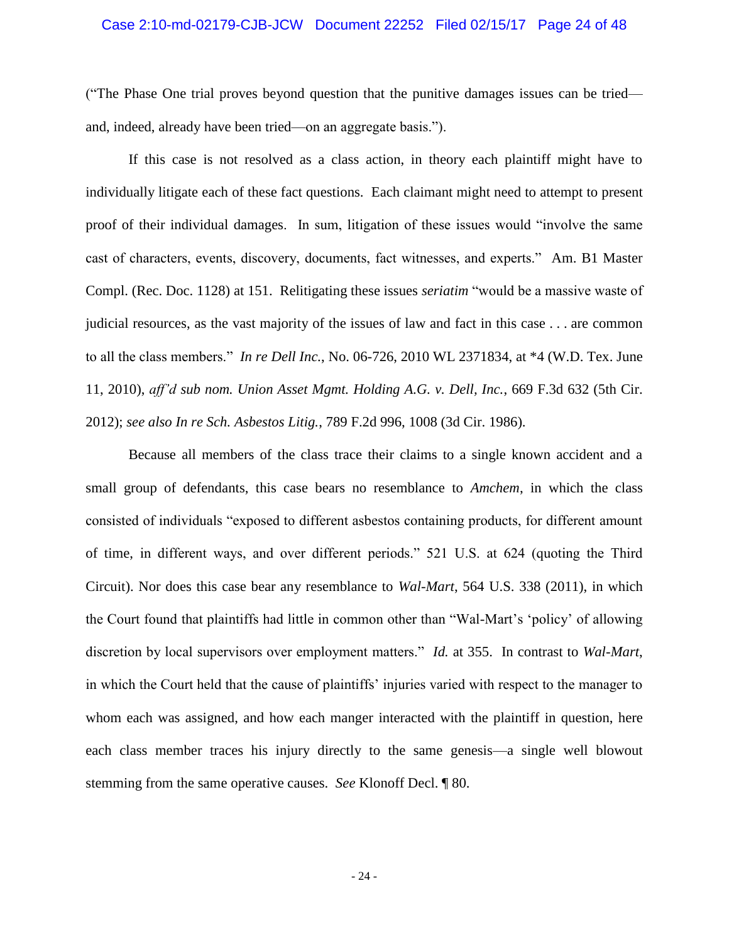#### Case 2:10-md-02179-CJB-JCW Document 22252 Filed 02/15/17 Page 24 of 48

("The Phase One trial proves beyond question that the punitive damages issues can be tried and, indeed, already have been tried—on an aggregate basis.").

If this case is not resolved as a class action, in theory each plaintiff might have to individually litigate each of these fact questions. Each claimant might need to attempt to present proof of their individual damages. In sum, litigation of these issues would "involve the same cast of characters, events, discovery, documents, fact witnesses, and experts." Am. B1 Master Compl. (Rec. Doc. 1128) at 151. Relitigating these issues *seriatim* "would be a massive waste of judicial resources, as the vast majority of the issues of law and fact in this case . . . are common to all the class members." *In re Dell Inc.*, No. 06-726, 2010 WL 2371834, at \*4 (W.D. Tex. June 11, 2010), *aff'd sub nom. Union Asset Mgmt. Holding A.G. v. Dell, Inc.*, 669 F.3d 632 (5th Cir. 2012); *see also In re Sch. Asbestos Litig.*, 789 F.2d 996, 1008 (3d Cir. 1986).

Because all members of the class trace their claims to a single known accident and a small group of defendants, this case bears no resemblance to *Amchem*, in which the class consisted of individuals "exposed to different asbestos containing products, for different amount of time, in different ways, and over different periods." 521 U.S. at 624 (quoting the Third Circuit). Nor does this case bear any resemblance to *Wal-Mart*, 564 U.S. 338 (2011), in which the Court found that plaintiffs had little in common other than "Wal-Mart's 'policy' of allowing discretion by local supervisors over employment matters." *Id.* at 355. In contrast to *Wal-Mart*, in which the Court held that the cause of plaintiffs' injuries varied with respect to the manager to whom each was assigned, and how each manger interacted with the plaintiff in question, here each class member traces his injury directly to the same genesis—a single well blowout stemming from the same operative causes. *See* Klonoff Decl. ¶ 80.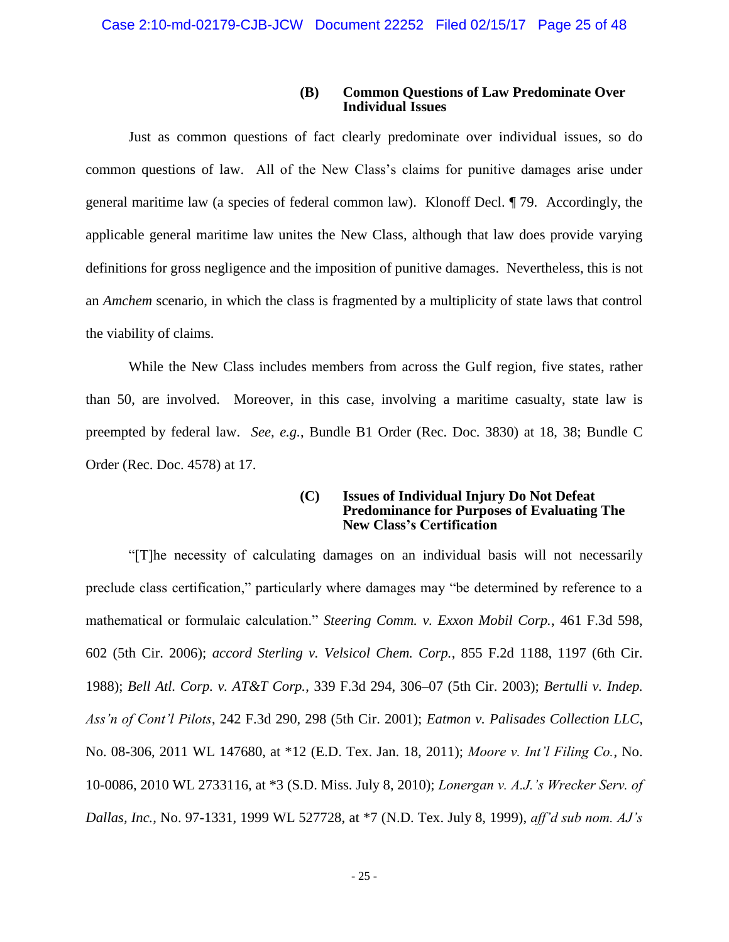# **(B) Common Questions of Law Predominate Over Individual Issues**

Just as common questions of fact clearly predominate over individual issues, so do common questions of law. All of the New Class's claims for punitive damages arise under general maritime law (a species of federal common law). Klonoff Decl. ¶ 79. Accordingly, the applicable general maritime law unites the New Class, although that law does provide varying definitions for gross negligence and the imposition of punitive damages. Nevertheless, this is not an *Amchem* scenario, in which the class is fragmented by a multiplicity of state laws that control the viability of claims.

While the New Class includes members from across the Gulf region, five states, rather than 50, are involved. Moreover, in this case, involving a maritime casualty, state law is preempted by federal law. *See, e.g.*, Bundle B1 Order (Rec. Doc. 3830) at 18, 38; Bundle C Order (Rec. Doc. 4578) at 17.

#### **(C) Issues of Individual Injury Do Not Defeat Predominance for Purposes of Evaluating The New Class's Certification**

"[T]he necessity of calculating damages on an individual basis will not necessarily preclude class certification," particularly where damages may "be determined by reference to a mathematical or formulaic calculation." *Steering Comm. v. Exxon Mobil Corp.*, 461 F.3d 598, 602 (5th Cir. 2006); *accord Sterling v. Velsicol Chem. Corp.*, 855 F.2d 1188, 1197 (6th Cir. 1988); *Bell Atl. Corp. v. AT&T Corp.*, 339 F.3d 294, 306–07 (5th Cir. 2003); *Bertulli v. Indep. Ass'n of Cont'l Pilots*, 242 F.3d 290, 298 (5th Cir. 2001); *Eatmon v. Palisades Collection LLC*, No. 08-306, 2011 WL 147680, at \*12 (E.D. Tex. Jan. 18, 2011); *Moore v. Int'l Filing Co.*, No. 10-0086, 2010 WL 2733116, at \*3 (S.D. Miss. July 8, 2010); *Lonergan v. A.J.'s Wrecker Serv. of Dallas, Inc.*, No. 97-1331, 1999 WL 527728, at \*7 (N.D. Tex. July 8, 1999), *aff'd sub nom. AJ's*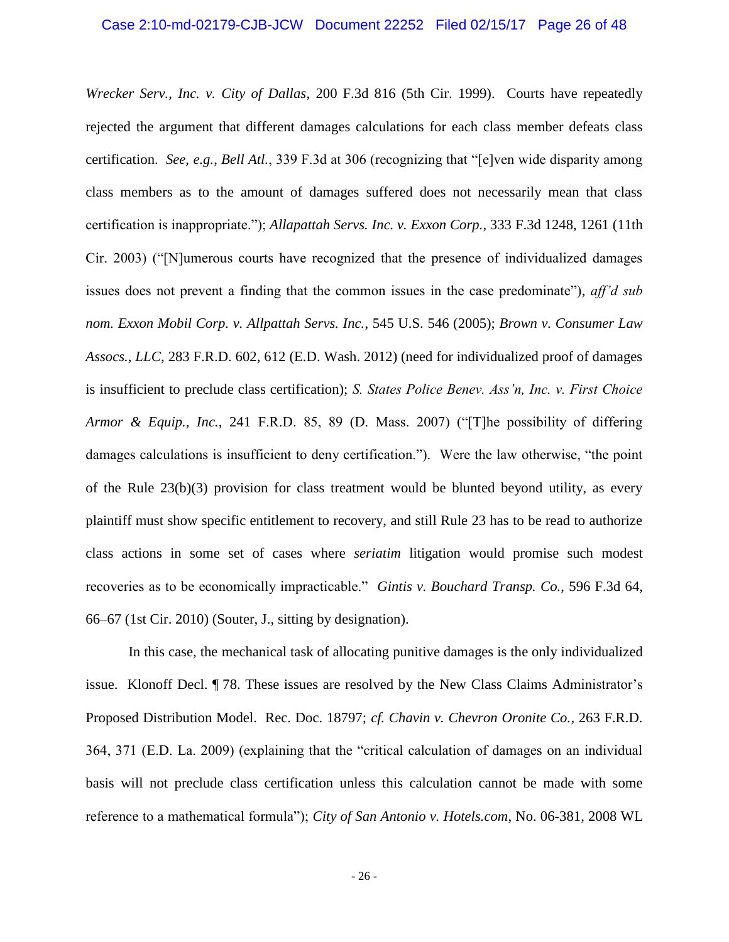*Wrecker Serv., Inc. v. City of Dallas*, 200 F.3d 816 (5th Cir. 1999). Courts have repeatedly rejected the argument that different damages calculations for each class member defeats class certification. *See, e.g.*, *Bell Atl.*, 339 F.3d at 306 (recognizing that "[e]ven wide disparity among class members as to the amount of damages suffered does not necessarily mean that class certification is inappropriate."); *Allapattah Servs. Inc. v. Exxon Corp.*, 333 F.3d 1248, 1261 (11th Cir. 2003) ("[N]umerous courts have recognized that the presence of individualized damages issues does not prevent a finding that the common issues in the case predominate"), *aff'd sub nom. Exxon Mobil Corp. v. Allpattah Servs. Inc.*, 545 U.S. 546 (2005); *Brown v. Consumer Law Assocs., LLC*, 283 F.R.D. 602, 612 (E.D. Wash. 2012) (need for individualized proof of damages is insufficient to preclude class certification); *S. States Police Benev. Ass'n, Inc. v. First Choice Armor & Equip., Inc.*, 241 F.R.D. 85, 89 (D. Mass. 2007) ("[T]he possibility of differing damages calculations is insufficient to deny certification."). Were the law otherwise, "the point of the Rule 23(b)(3) provision for class treatment would be blunted beyond utility, as every plaintiff must show specific entitlement to recovery, and still Rule 23 has to be read to authorize class actions in some set of cases where *seriatim* litigation would promise such modest recoveries as to be economically impracticable." *Gintis v. Bouchard Transp. Co.*, 596 F.3d 64, 66–67 (1st Cir. 2010) (Souter, J., sitting by designation).

In this case, the mechanical task of allocating punitive damages is the only individualized issue. Klonoff Decl. ¶ 78. These issues are resolved by the New Class Claims Administrator's Proposed Distribution Model. Rec. Doc. 18797; *cf. Chavin v. Chevron Oronite Co.*, 263 F.R.D. 364, 371 (E.D. La. 2009) (explaining that the "critical calculation of damages on an individual basis will not preclude class certification unless this calculation cannot be made with some reference to a mathematical formula"); *City of San Antonio v. Hotels.com*, No. 06-381, 2008 WL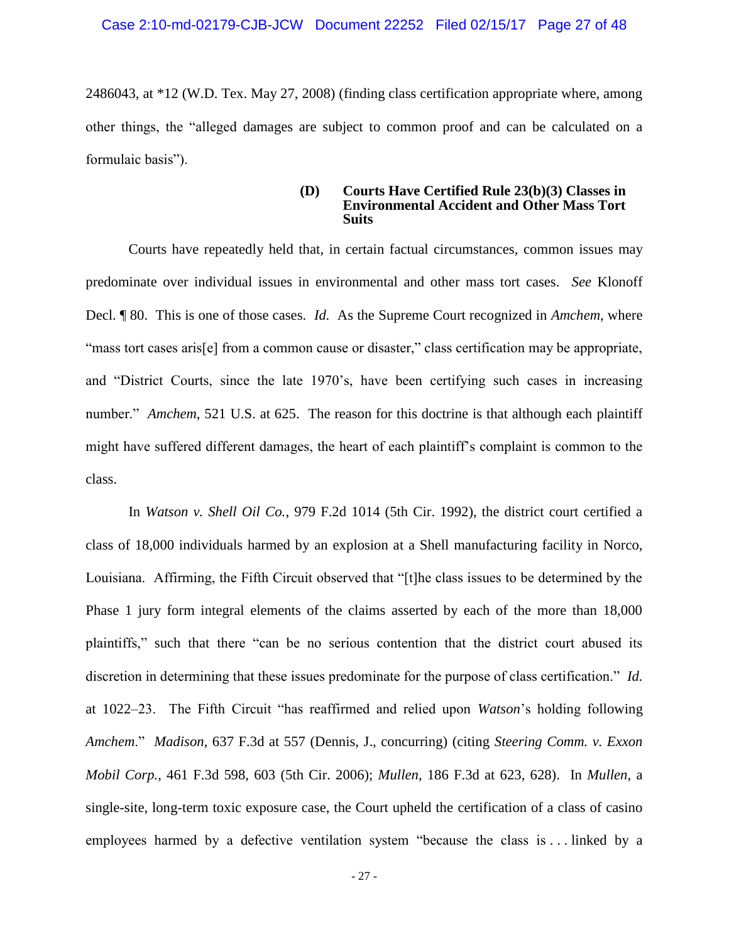2486043, at \*12 (W.D. Tex. May 27, 2008) (finding class certification appropriate where, among other things, the "alleged damages are subject to common proof and can be calculated on a formulaic basis").

#### **(D) Courts Have Certified Rule 23(b)(3) Classes in Environmental Accident and Other Mass Tort Suits**

Courts have repeatedly held that, in certain factual circumstances, common issues may predominate over individual issues in environmental and other mass tort cases. *See* Klonoff Decl. ¶ 80. This is one of those cases. *Id.* As the Supreme Court recognized in *Amchem*, where "mass tort cases aris[e] from a common cause or disaster," class certification may be appropriate, and "District Courts, since the late 1970's, have been certifying such cases in increasing number." *Amchem*, 521 U.S. at 625. The reason for this doctrine is that although each plaintiff might have suffered different damages, the heart of each plaintiff's complaint is common to the class.

In *Watson v. Shell Oil Co.*, 979 F.2d 1014 (5th Cir. 1992), the district court certified a class of 18,000 individuals harmed by an explosion at a Shell manufacturing facility in Norco, Louisiana. Affirming, the Fifth Circuit observed that "[t]he class issues to be determined by the Phase 1 jury form integral elements of the claims asserted by each of the more than 18,000 plaintiffs," such that there "can be no serious contention that the district court abused its discretion in determining that these issues predominate for the purpose of class certification." *Id.* at 1022–23. The Fifth Circuit "has reaffirmed and relied upon *Watson*'s holding following *Amchem*." *Madison*, 637 F.3d at 557 (Dennis, J., concurring) (citing *Steering Comm. v. Exxon Mobil Corp.*, 461 F.3d 598, 603 (5th Cir. 2006); *Mullen*, 186 F.3d at 623, 628). In *Mullen*, a single-site, long-term toxic exposure case, the Court upheld the certification of a class of casino employees harmed by a defective ventilation system "because the class is . . . linked by a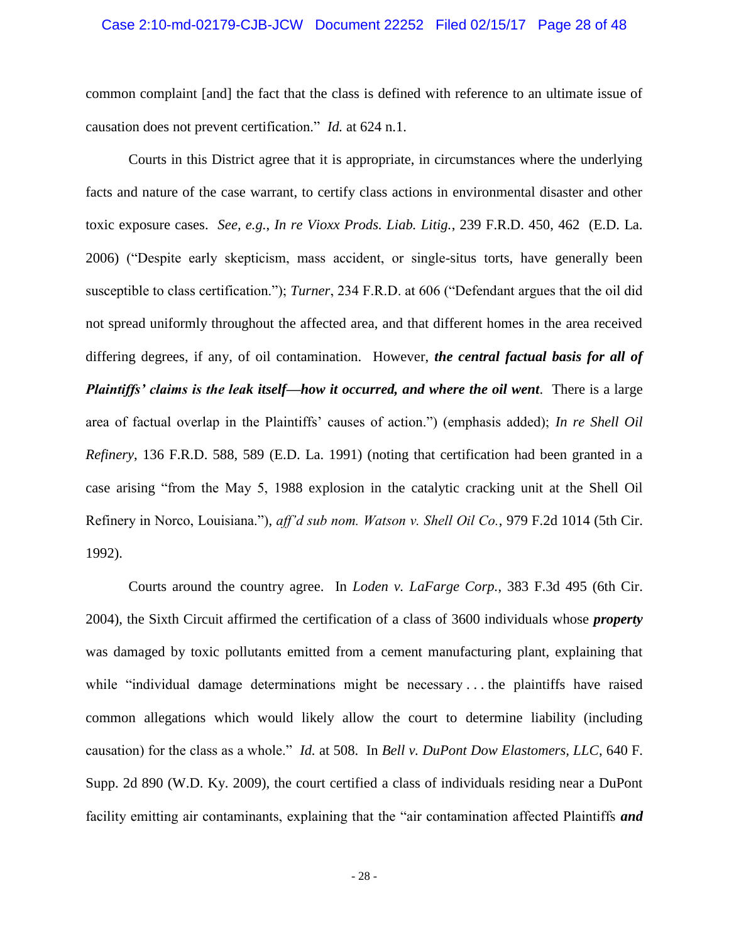#### Case 2:10-md-02179-CJB-JCW Document 22252 Filed 02/15/17 Page 28 of 48

common complaint [and] the fact that the class is defined with reference to an ultimate issue of causation does not prevent certification." *Id.* at 624 n.1.

Courts in this District agree that it is appropriate, in circumstances where the underlying facts and nature of the case warrant, to certify class actions in environmental disaster and other toxic exposure cases. *See, e.g.*, *In re Vioxx Prods. Liab. Litig.*, 239 F.R.D. 450, 462 (E.D. La. 2006) ("Despite early skepticism, mass accident, or single-situs torts, have generally been susceptible to class certification."); *Turner*, 234 F.R.D. at 606 ("Defendant argues that the oil did not spread uniformly throughout the affected area, and that different homes in the area received differing degrees, if any, of oil contamination. However, *the central factual basis for all of Plaintiffs' claims is the leak itself—how it occurred, and where the oil went*. There is a large area of factual overlap in the Plaintiffs' causes of action.") (emphasis added); *In re Shell Oil Refinery*, 136 F.R.D. 588, 589 (E.D. La. 1991) (noting that certification had been granted in a case arising "from the May 5, 1988 explosion in the catalytic cracking unit at the Shell Oil Refinery in Norco, Louisiana."), *aff'd sub nom. Watson v. Shell Oil Co.*, 979 F.2d 1014 (5th Cir. 1992).

Courts around the country agree. In *Loden v. LaFarge Corp.*, 383 F.3d 495 (6th Cir. 2004), the Sixth Circuit affirmed the certification of a class of 3600 individuals whose *property* was damaged by toxic pollutants emitted from a cement manufacturing plant, explaining that while "individual damage determinations might be necessary... the plaintiffs have raised common allegations which would likely allow the court to determine liability (including causation) for the class as a whole." *Id.* at 508. In *Bell v. DuPont Dow Elastomers, LLC*, 640 F. Supp. 2d 890 (W.D. Ky. 2009), the court certified a class of individuals residing near a DuPont facility emitting air contaminants, explaining that the "air contamination affected Plaintiffs *and*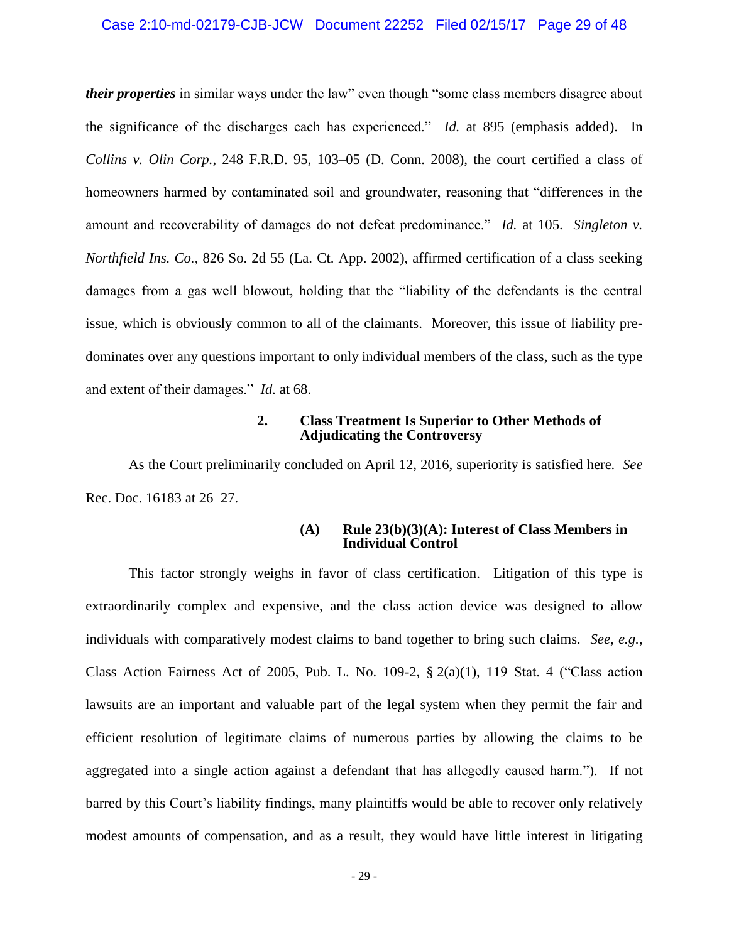#### Case 2:10-md-02179-CJB-JCW Document 22252 Filed 02/15/17 Page 29 of 48

*their properties* in similar ways under the law" even though "some class members disagree about the significance of the discharges each has experienced." *Id.* at 895 (emphasis added). In *Collins v. Olin Corp.*, 248 F.R.D. 95, 103–05 (D. Conn. 2008), the court certified a class of homeowners harmed by contaminated soil and groundwater, reasoning that "differences in the amount and recoverability of damages do not defeat predominance." *Id.* at 105. *Singleton v. Northfield Ins. Co.*, 826 So. 2d 55 (La. Ct. App. 2002), affirmed certification of a class seeking damages from a gas well blowout, holding that the "liability of the defendants is the central issue, which is obviously common to all of the claimants. Moreover, this issue of liability predominates over any questions important to only individual members of the class, such as the type and extent of their damages." *Id.* at 68.

#### **2. Class Treatment Is Superior to Other Methods of Adjudicating the Controversy**

As the Court preliminarily concluded on April 12, 2016, superiority is satisfied here. *See*  Rec. Doc. 16183 at 26–27.

#### **(A) Rule 23(b)(3)(A): Interest of Class Members in Individual Control**

This factor strongly weighs in favor of class certification. Litigation of this type is extraordinarily complex and expensive, and the class action device was designed to allow individuals with comparatively modest claims to band together to bring such claims. *See, e.g.*, Class Action Fairness Act of 2005, Pub. L. No. 109-2,  $\S$  2(a)(1), 119 Stat. 4 ("Class action lawsuits are an important and valuable part of the legal system when they permit the fair and efficient resolution of legitimate claims of numerous parties by allowing the claims to be aggregated into a single action against a defendant that has allegedly caused harm."). If not barred by this Court's liability findings, many plaintiffs would be able to recover only relatively modest amounts of compensation, and as a result, they would have little interest in litigating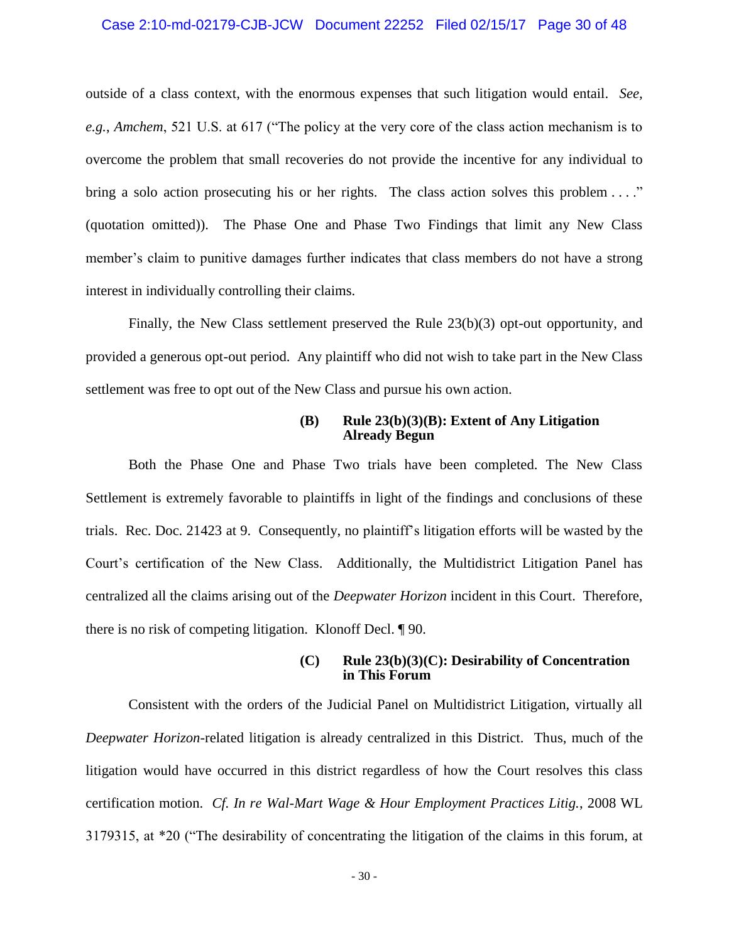#### Case 2:10-md-02179-CJB-JCW Document 22252 Filed 02/15/17 Page 30 of 48

outside of a class context, with the enormous expenses that such litigation would entail. *See, e.g.*, *Amchem*, 521 U.S. at 617 ("The policy at the very core of the class action mechanism is to overcome the problem that small recoveries do not provide the incentive for any individual to bring a solo action prosecuting his or her rights. The class action solves this problem ...." (quotation omitted)). The Phase One and Phase Two Findings that limit any New Class member's claim to punitive damages further indicates that class members do not have a strong interest in individually controlling their claims.

Finally, the New Class settlement preserved the Rule 23(b)(3) opt-out opportunity, and provided a generous opt-out period. Any plaintiff who did not wish to take part in the New Class settlement was free to opt out of the New Class and pursue his own action.

#### **(B) Rule 23(b)(3)(B): Extent of Any Litigation Already Begun**

Both the Phase One and Phase Two trials have been completed. The New Class Settlement is extremely favorable to plaintiffs in light of the findings and conclusions of these trials. Rec. Doc. 21423 at 9. Consequently, no plaintiff's litigation efforts will be wasted by the Court's certification of the New Class. Additionally, the Multidistrict Litigation Panel has centralized all the claims arising out of the *Deepwater Horizon* incident in this Court. Therefore, there is no risk of competing litigation. Klonoff Decl. ¶ 90.

#### **(C) Rule 23(b)(3)(C): Desirability of Concentration in This Forum**

Consistent with the orders of the Judicial Panel on Multidistrict Litigation, virtually all *Deepwater Horizon*-related litigation is already centralized in this District. Thus, much of the litigation would have occurred in this district regardless of how the Court resolves this class certification motion. *Cf. In re Wal-Mart Wage & Hour Employment Practices Litig.*, 2008 WL 3179315, at \*20 ("The desirability of concentrating the litigation of the claims in this forum, at

- 30 -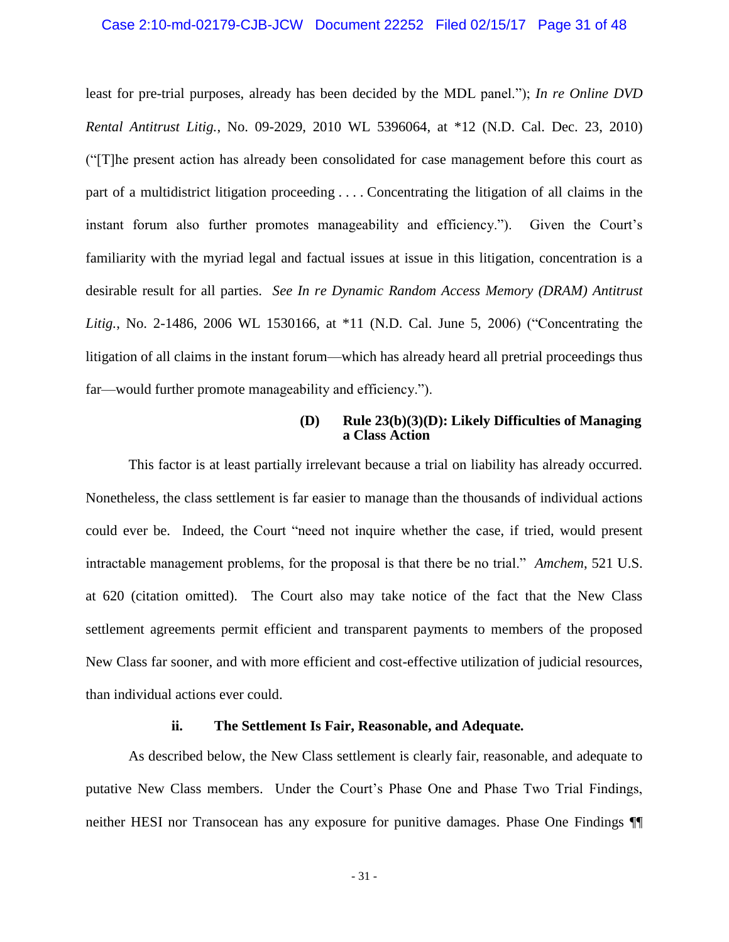#### Case 2:10-md-02179-CJB-JCW Document 22252 Filed 02/15/17 Page 31 of 48

least for pre-trial purposes, already has been decided by the MDL panel."); *In re Online DVD Rental Antitrust Litig.*, No. 09-2029, 2010 WL 5396064, at \*12 (N.D. Cal. Dec. 23, 2010) ("[T]he present action has already been consolidated for case management before this court as part of a multidistrict litigation proceeding . . . . Concentrating the litigation of all claims in the instant forum also further promotes manageability and efficiency."). Given the Court's familiarity with the myriad legal and factual issues at issue in this litigation, concentration is a desirable result for all parties. *See In re Dynamic Random Access Memory (DRAM) Antitrust Litig.*, No. 2-1486, 2006 WL 1530166, at \*11 (N.D. Cal. June 5, 2006) ("Concentrating the litigation of all claims in the instant forum—which has already heard all pretrial proceedings thus far—would further promote manageability and efficiency.").

# **(D) Rule 23(b)(3)(D): Likely Difficulties of Managing a Class Action**

This factor is at least partially irrelevant because a trial on liability has already occurred. Nonetheless, the class settlement is far easier to manage than the thousands of individual actions could ever be. Indeed, the Court "need not inquire whether the case, if tried, would present intractable management problems, for the proposal is that there be no trial." *Amchem*, 521 U.S. at 620 (citation omitted). The Court also may take notice of the fact that the New Class settlement agreements permit efficient and transparent payments to members of the proposed New Class far sooner, and with more efficient and cost-effective utilization of judicial resources, than individual actions ever could.

# **ii. The Settlement Is Fair, Reasonable, and Adequate.**

As described below, the New Class settlement is clearly fair, reasonable, and adequate to putative New Class members. Under the Court's Phase One and Phase Two Trial Findings, neither HESI nor Transocean has any exposure for punitive damages. Phase One Findings ¶¶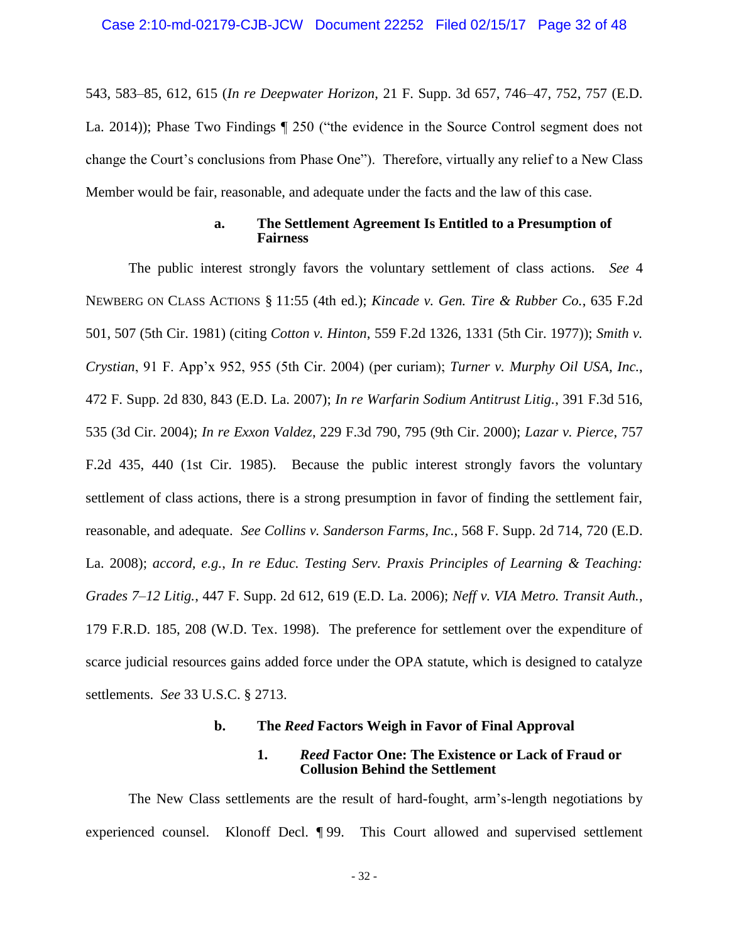543, 583–85, 612, 615 (*In re Deepwater Horizon*, 21 F. Supp. 3d 657, 746–47, 752, 757 (E.D. La. 2014)); Phase Two Findings ¶ 250 ("the evidence in the Source Control segment does not change the Court's conclusions from Phase One"). Therefore, virtually any relief to a New Class Member would be fair, reasonable, and adequate under the facts and the law of this case.

#### **a. The Settlement Agreement Is Entitled to a Presumption of Fairness**

The public interest strongly favors the voluntary settlement of class actions. *See* 4 NEWBERG ON CLASS ACTIONS § 11:55 (4th ed.); *Kincade v. Gen. Tire & Rubber Co.*, 635 F.2d 501, 507 (5th Cir. 1981) (citing *Cotton v. Hinton*, 559 F.2d 1326, 1331 (5th Cir. 1977)); *Smith v. Crystian*, 91 F. App'x 952, 955 (5th Cir. 2004) (per curiam); *Turner v. Murphy Oil USA, Inc.*, 472 F. Supp. 2d 830, 843 (E.D. La. 2007); *In re Warfarin Sodium Antitrust Litig.*, 391 F.3d 516, 535 (3d Cir. 2004); *In re Exxon Valdez*, 229 F.3d 790, 795 (9th Cir. 2000); *Lazar v. Pierce*, 757 F.2d 435, 440 (1st Cir. 1985). Because the public interest strongly favors the voluntary settlement of class actions, there is a strong presumption in favor of finding the settlement fair, reasonable, and adequate. *See Collins v. Sanderson Farms, Inc.*, 568 F. Supp. 2d 714, 720 (E.D. La. 2008); *accord, e.g.*, *In re Educ. Testing Serv. Praxis Principles of Learning & Teaching: Grades 7–12 Litig.*, 447 F. Supp. 2d 612, 619 (E.D. La. 2006); *Neff v. VIA Metro. Transit Auth.*, 179 F.R.D. 185, 208 (W.D. Tex. 1998). The preference for settlement over the expenditure of scarce judicial resources gains added force under the OPA statute, which is designed to catalyze settlements. *See* 33 U.S.C. § 2713.

#### **b. The** *Reed* **Factors Weigh in Favor of Final Approval**

#### **1.** *Reed* **Factor One: The Existence or Lack of Fraud or Collusion Behind the Settlement**

The New Class settlements are the result of hard-fought, arm's-length negotiations by experienced counsel. Klonoff Decl. ¶ 99. This Court allowed and supervised settlement

- 32 -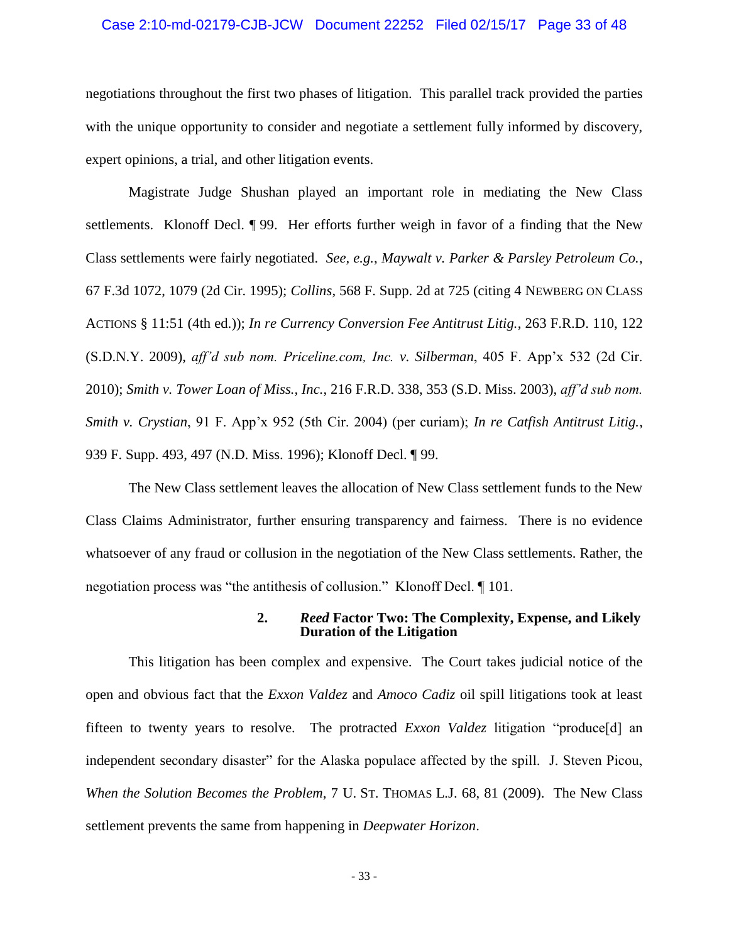#### Case 2:10-md-02179-CJB-JCW Document 22252 Filed 02/15/17 Page 33 of 48

negotiations throughout the first two phases of litigation. This parallel track provided the parties with the unique opportunity to consider and negotiate a settlement fully informed by discovery, expert opinions, a trial, and other litigation events.

Magistrate Judge Shushan played an important role in mediating the New Class settlements. Klonoff Decl. ¶ 99. Her efforts further weigh in favor of a finding that the New Class settlements were fairly negotiated. *See, e.g.*, *Maywalt v. Parker & Parsley Petroleum Co.*, 67 F.3d 1072, 1079 (2d Cir. 1995); *Collins*, 568 F. Supp. 2d at 725 (citing 4 NEWBERG ON CLASS ACTIONS § 11:51 (4th ed.)); *In re Currency Conversion Fee Antitrust Litig.*, 263 F.R.D. 110, 122 (S.D.N.Y. 2009), *aff'd sub nom. Priceline.com, Inc. v. Silberman*, 405 F. App'x 532 (2d Cir. 2010); *Smith v. Tower Loan of Miss., Inc.*, 216 F.R.D. 338, 353 (S.D. Miss. 2003), *aff'd sub nom. Smith v. Crystian*, 91 F. App'x 952 (5th Cir. 2004) (per curiam); *In re Catfish Antitrust Litig.*, 939 F. Supp. 493, 497 (N.D. Miss. 1996); Klonoff Decl. ¶ 99.

The New Class settlement leaves the allocation of New Class settlement funds to the New Class Claims Administrator, further ensuring transparency and fairness. There is no evidence whatsoever of any fraud or collusion in the negotiation of the New Class settlements. Rather, the negotiation process was "the antithesis of collusion." Klonoff Decl. ¶ 101.

#### **2.** *Reed* **Factor Two: The Complexity, Expense, and Likely Duration of the Litigation**

This litigation has been complex and expensive. The Court takes judicial notice of the open and obvious fact that the *Exxon Valdez* and *Amoco Cadiz* oil spill litigations took at least fifteen to twenty years to resolve. The protracted *Exxon Valdez* litigation "produce[d] an independent secondary disaster" for the Alaska populace affected by the spill. J. Steven Picou, *When the Solution Becomes the Problem*, 7 U. ST. THOMAS L.J. 68, 81 (2009). The New Class settlement prevents the same from happening in *Deepwater Horizon*.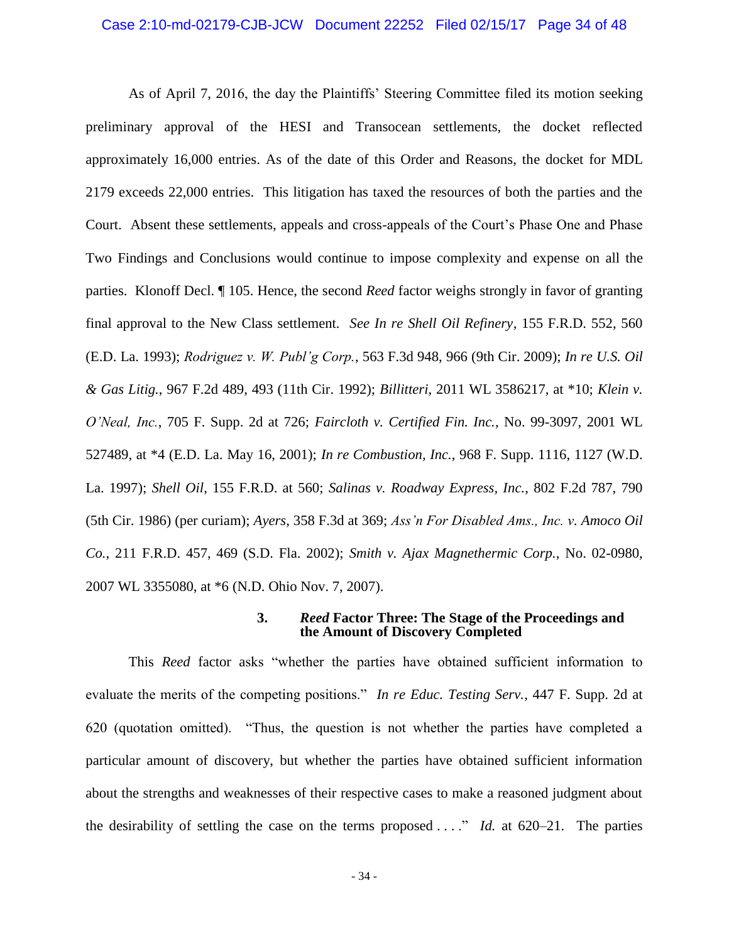#### Case 2:10-md-02179-CJB-JCW Document 22252 Filed 02/15/17 Page 34 of 48

As of April 7, 2016, the day the Plaintiffs' Steering Committee filed its motion seeking preliminary approval of the HESI and Transocean settlements, the docket reflected approximately 16,000 entries. As of the date of this Order and Reasons, the docket for MDL 2179 exceeds 22,000 entries. This litigation has taxed the resources of both the parties and the Court. Absent these settlements, appeals and cross-appeals of the Court's Phase One and Phase Two Findings and Conclusions would continue to impose complexity and expense on all the parties. Klonoff Decl. ¶ 105. Hence, the second *Reed* factor weighs strongly in favor of granting final approval to the New Class settlement. *See In re Shell Oil Refinery*, 155 F.R.D. 552, 560 (E.D. La. 1993); *Rodriguez v. W. Publ'g Corp.*, 563 F.3d 948, 966 (9th Cir. 2009); *In re U.S. Oil & Gas Litig.*, 967 F.2d 489, 493 (11th Cir. 1992); *Billitteri*, 2011 WL 3586217, at \*10; *Klein v. O'Neal, Inc.*, 705 F. Supp. 2d at 726; *Faircloth v. Certified Fin. Inc.*, No. 99-3097, 2001 WL 527489, at \*4 (E.D. La. May 16, 2001); *In re Combustion, Inc.*, 968 F. Supp. 1116, 1127 (W.D. La. 1997); *Shell Oil*, 155 F.R.D. at 560; *Salinas v. Roadway Express, Inc.*, 802 F.2d 787, 790 (5th Cir. 1986) (per curiam); *Ayers*, 358 F.3d at 369; *Ass'n For Disabled Ams., Inc. v. Amoco Oil Co.*, 211 F.R.D. 457, 469 (S.D. Fla. 2002); *Smith v. Ajax Magnethermic Corp.*, No. 02-0980, 2007 WL 3355080, at \*6 (N.D. Ohio Nov. 7, 2007).

#### **3.** *Reed* **Factor Three: The Stage of the Proceedings and the Amount of Discovery Completed**

This *Reed* factor asks "whether the parties have obtained sufficient information to evaluate the merits of the competing positions." *In re Educ. Testing Serv.*, 447 F. Supp. 2d at 620 (quotation omitted). "Thus, the question is not whether the parties have completed a particular amount of discovery, but whether the parties have obtained sufficient information about the strengths and weaknesses of their respective cases to make a reasoned judgment about the desirability of settling the case on the terms proposed  $\ldots$ " *Id.* at 620–21. The parties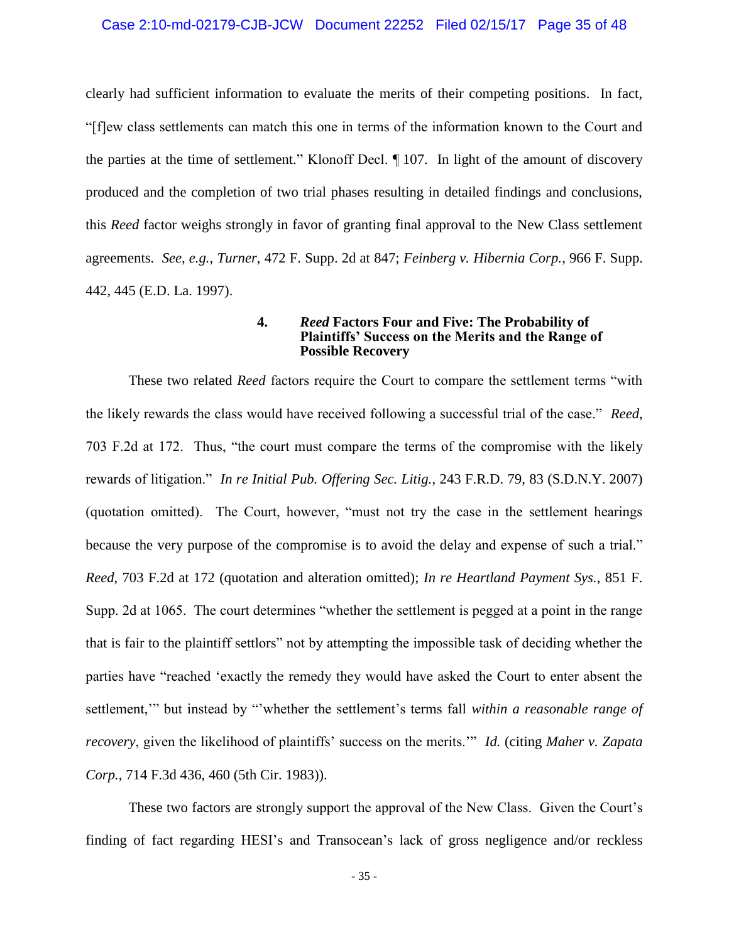#### Case 2:10-md-02179-CJB-JCW Document 22252 Filed 02/15/17 Page 35 of 48

clearly had sufficient information to evaluate the merits of their competing positions. In fact, "[f]ew class settlements can match this one in terms of the information known to the Court and the parties at the time of settlement." Klonoff Decl. ¶ 107. In light of the amount of discovery produced and the completion of two trial phases resulting in detailed findings and conclusions, this *Reed* factor weighs strongly in favor of granting final approval to the New Class settlement agreements. *See, e.g.*, *Turner*, 472 F. Supp. 2d at 847; *Feinberg v. Hibernia Corp.*, 966 F. Supp. 442, 445 (E.D. La. 1997).

#### **4.** *Reed* **Factors Four and Five: The Probability of Plaintiffs' Success on the Merits and the Range of Possible Recovery**

These two related *Reed* factors require the Court to compare the settlement terms "with the likely rewards the class would have received following a successful trial of the case." *Reed*, 703 F.2d at 172. Thus, "the court must compare the terms of the compromise with the likely rewards of litigation." *In re Initial Pub. Offering Sec. Litig.*, 243 F.R.D. 79, 83 (S.D.N.Y. 2007) (quotation omitted). The Court, however, "must not try the case in the settlement hearings because the very purpose of the compromise is to avoid the delay and expense of such a trial." *Reed*, 703 F.2d at 172 (quotation and alteration omitted); *In re Heartland Payment Sys.*, 851 F. Supp. 2d at 1065. The court determines "whether the settlement is pegged at a point in the range that is fair to the plaintiff settlors" not by attempting the impossible task of deciding whether the parties have "reached 'exactly the remedy they would have asked the Court to enter absent the settlement,'" but instead by "'whether the settlement's terms fall *within a reasonable range of recovery*, given the likelihood of plaintiffs' success on the merits.'" *Id.* (citing *Maher v. Zapata Corp.*, 714 F.3d 436, 460 (5th Cir. 1983)).

These two factors are strongly support the approval of the New Class. Given the Court's finding of fact regarding HESI's and Transocean's lack of gross negligence and/or reckless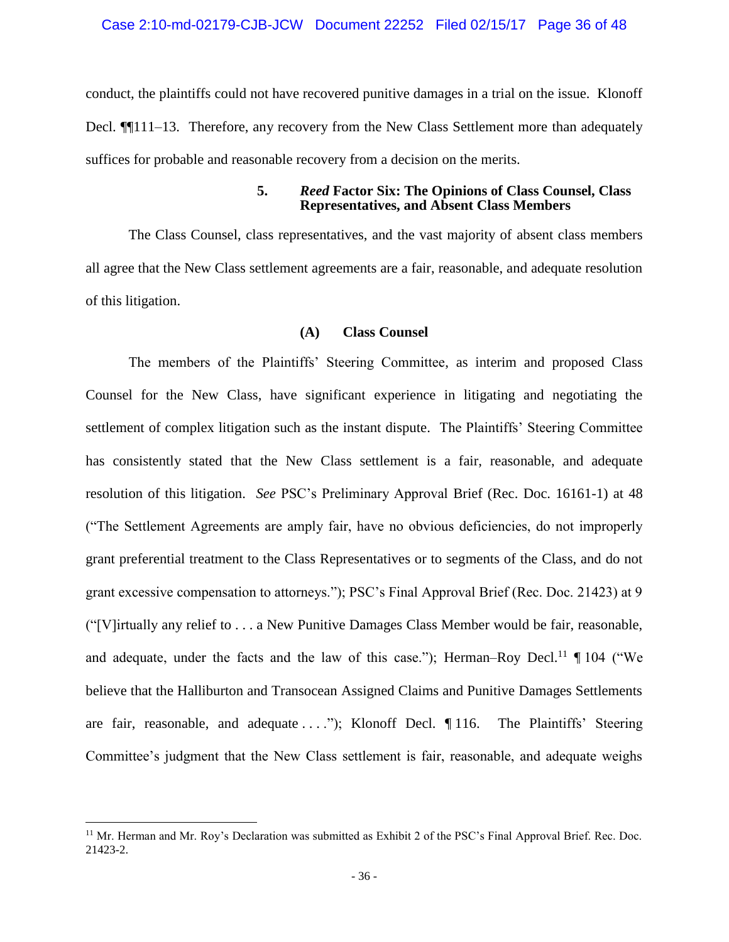conduct, the plaintiffs could not have recovered punitive damages in a trial on the issue. Klonoff Decl. ¶¶111–13. Therefore, any recovery from the New Class Settlement more than adequately suffices for probable and reasonable recovery from a decision on the merits.

#### **5.** *Reed* **Factor Six: The Opinions of Class Counsel, Class Representatives, and Absent Class Members**

The Class Counsel, class representatives, and the vast majority of absent class members all agree that the New Class settlement agreements are a fair, reasonable, and adequate resolution of this litigation.

# **(A) Class Counsel**

The members of the Plaintiffs' Steering Committee, as interim and proposed Class Counsel for the New Class, have significant experience in litigating and negotiating the settlement of complex litigation such as the instant dispute. The Plaintiffs' Steering Committee has consistently stated that the New Class settlement is a fair, reasonable, and adequate resolution of this litigation. *See* PSC's Preliminary Approval Brief (Rec. Doc. 16161-1) at 48 ("The Settlement Agreements are amply fair, have no obvious deficiencies, do not improperly grant preferential treatment to the Class Representatives or to segments of the Class, and do not grant excessive compensation to attorneys."); PSC's Final Approval Brief (Rec. Doc. 21423) at 9 ("[V]irtually any relief to . . . a New Punitive Damages Class Member would be fair, reasonable, and adequate, under the facts and the law of this case."); Herman–Roy Decl.<sup>11</sup>  $\P$  104 ("We believe that the Halliburton and Transocean Assigned Claims and Punitive Damages Settlements are fair, reasonable, and adequate  $\dots$ ."); Klonoff Decl.  $\P$  116. The Plaintiffs' Steering Committee's judgment that the New Class settlement is fair, reasonable, and adequate weighs

<sup>&</sup>lt;sup>11</sup> Mr. Herman and Mr. Roy's Declaration was submitted as Exhibit 2 of the PSC's Final Approval Brief. Rec. Doc. 21423-2.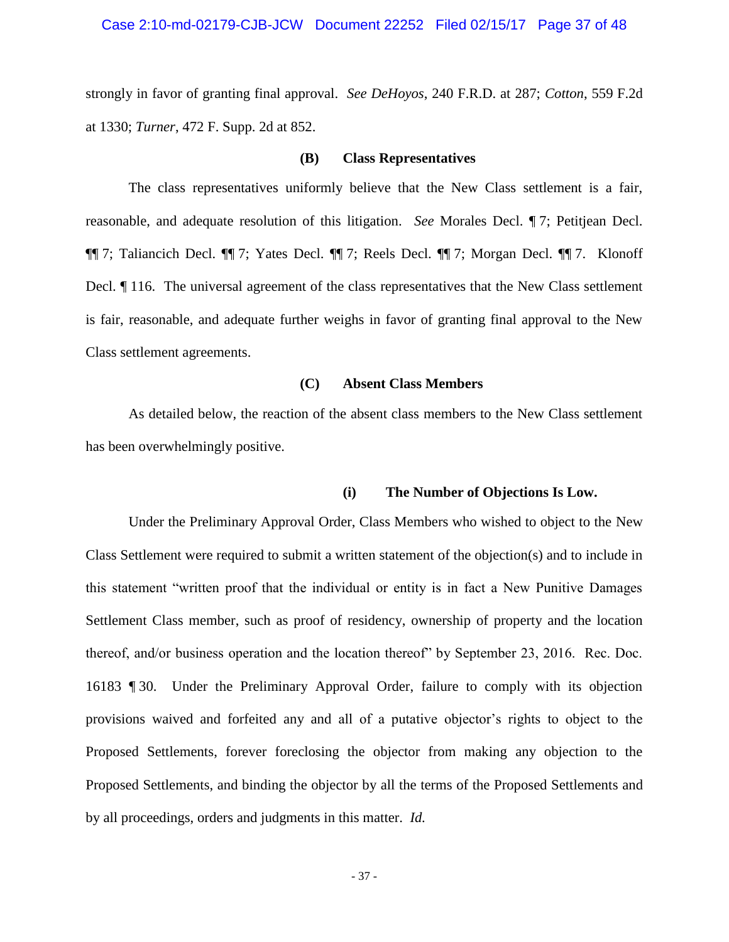#### Case 2:10-md-02179-CJB-JCW Document 22252 Filed 02/15/17 Page 37 of 48

strongly in favor of granting final approval. *See DeHoyos*, 240 F.R.D. at 287; *Cotton*, 559 F.2d at 1330; *Turner*, 472 F. Supp. 2d at 852.

#### **(B) Class Representatives**

The class representatives uniformly believe that the New Class settlement is a fair, reasonable, and adequate resolution of this litigation. *See* Morales Decl. ¶ 7; Petitjean Decl. ¶¶ 7; Taliancich Decl. ¶¶ 7; Yates Decl. ¶¶ 7; Reels Decl. ¶¶ 7; Morgan Decl. ¶¶ 7. Klonoff Decl. ¶ 116. The universal agreement of the class representatives that the New Class settlement is fair, reasonable, and adequate further weighs in favor of granting final approval to the New Class settlement agreements.

#### **(C) Absent Class Members**

As detailed below, the reaction of the absent class members to the New Class settlement has been overwhelmingly positive.

# **(i) The Number of Objections Is Low.**

Under the Preliminary Approval Order, Class Members who wished to object to the New Class Settlement were required to submit a written statement of the objection(s) and to include in this statement "written proof that the individual or entity is in fact a New Punitive Damages Settlement Class member, such as proof of residency, ownership of property and the location thereof, and/or business operation and the location thereof" by September 23, 2016. Rec. Doc. 16183 ¶ 30. Under the Preliminary Approval Order, failure to comply with its objection provisions waived and forfeited any and all of a putative objector's rights to object to the Proposed Settlements, forever foreclosing the objector from making any objection to the Proposed Settlements, and binding the objector by all the terms of the Proposed Settlements and by all proceedings, orders and judgments in this matter. *Id.*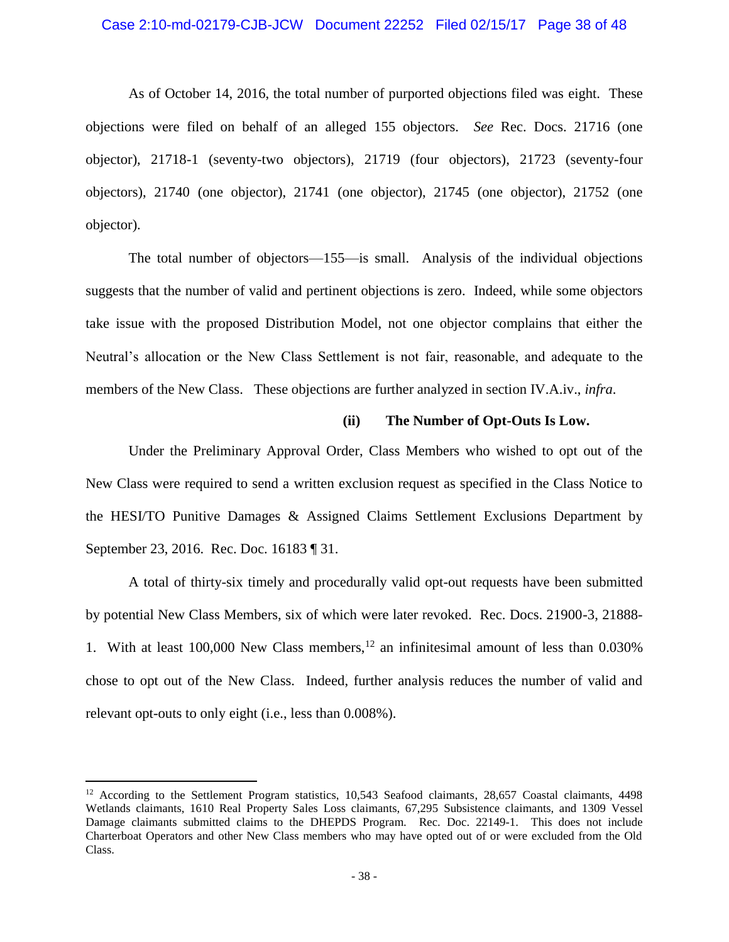#### Case 2:10-md-02179-CJB-JCW Document 22252 Filed 02/15/17 Page 38 of 48

As of October 14, 2016, the total number of purported objections filed was eight. These objections were filed on behalf of an alleged 155 objectors. *See* Rec. Docs. 21716 (one objector), 21718-1 (seventy-two objectors), 21719 (four objectors), 21723 (seventy-four objectors), 21740 (one objector), 21741 (one objector), 21745 (one objector), 21752 (one objector).

The total number of objectors—155—is small. Analysis of the individual objections suggests that the number of valid and pertinent objections is zero. Indeed, while some objectors take issue with the proposed Distribution Model, not one objector complains that either the Neutral's allocation or the New Class Settlement is not fair, reasonable, and adequate to the members of the New Class. These objections are further analyzed in section IV.A.iv., *infra*.

#### **(ii) The Number of Opt-Outs Is Low.**

Under the Preliminary Approval Order, Class Members who wished to opt out of the New Class were required to send a written exclusion request as specified in the Class Notice to the HESI/TO Punitive Damages & Assigned Claims Settlement Exclusions Department by September 23, 2016. Rec. Doc. 16183 ¶ 31.

A total of thirty-six timely and procedurally valid opt-out requests have been submitted by potential New Class Members, six of which were later revoked. Rec. Docs. 21900-3, 21888- 1. With at least 100,000 New Class members,  $^{12}$  an infinitesimal amount of less than 0.030% chose to opt out of the New Class. Indeed, further analysis reduces the number of valid and relevant opt-outs to only eight (i.e., less than 0.008%).

<sup>&</sup>lt;sup>12</sup> According to the Settlement Program statistics, 10,543 Seafood claimants, 28,657 Coastal claimants, 4498 Wetlands claimants, 1610 Real Property Sales Loss claimants, 67,295 Subsistence claimants, and 1309 Vessel Damage claimants submitted claims to the DHEPDS Program. Rec. Doc. 22149-1. This does not include Charterboat Operators and other New Class members who may have opted out of or were excluded from the Old Class.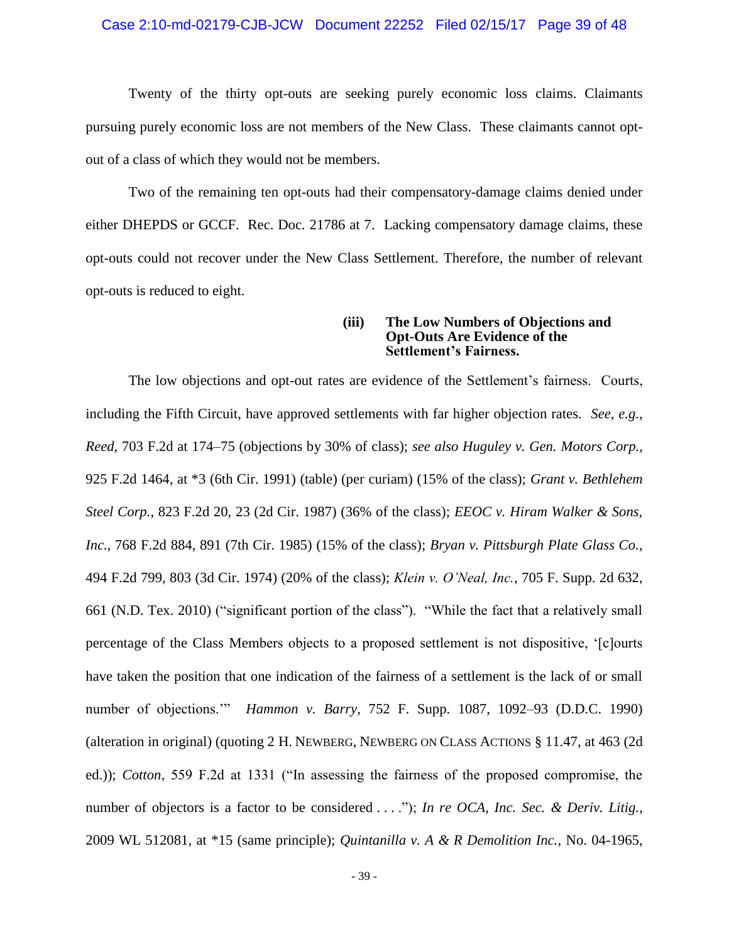#### Case 2:10-md-02179-CJB-JCW Document 22252 Filed 02/15/17 Page 39 of 48

Twenty of the thirty opt-outs are seeking purely economic loss claims. Claimants pursuing purely economic loss are not members of the New Class. These claimants cannot optout of a class of which they would not be members.

Two of the remaining ten opt-outs had their compensatory-damage claims denied under either DHEPDS or GCCF. Rec. Doc. 21786 at 7. Lacking compensatory damage claims, these opt-outs could not recover under the New Class Settlement. Therefore, the number of relevant opt-outs is reduced to eight.

#### **(iii) The Low Numbers of Objections and Opt-Outs Are Evidence of the Settlement's Fairness.**

The low objections and opt-out rates are evidence of the Settlement's fairness. Courts, including the Fifth Circuit, have approved settlements with far higher objection rates. *See, e.g.*, *Reed*, 703 F.2d at 174–75 (objections by 30% of class); *see also Huguley v. Gen. Motors Corp.*, 925 F.2d 1464, at \*3 (6th Cir. 1991) (table) (per curiam) (15% of the class); *Grant v. Bethlehem Steel Corp.*, 823 F.2d 20, 23 (2d Cir. 1987) (36% of the class); *EEOC v. Hiram Walker & Sons, Inc.*, 768 F.2d 884, 891 (7th Cir. 1985) (15% of the class); *Bryan v. Pittsburgh Plate Glass Co.*, 494 F.2d 799, 803 (3d Cir. 1974) (20% of the class); *Klein v. O'Neal, Inc.*, 705 F. Supp. 2d 632, 661 (N.D. Tex. 2010) ("significant portion of the class"). "While the fact that a relatively small percentage of the Class Members objects to a proposed settlement is not dispositive, '[c]ourts have taken the position that one indication of the fairness of a settlement is the lack of or small number of objections.'" *Hammon v. Barry*, 752 F. Supp. 1087, 1092–93 (D.D.C. 1990) (alteration in original) (quoting 2 H. NEWBERG, NEWBERG ON CLASS ACTIONS § 11.47, at 463 (2d ed.)); *Cotton*, 559 F.2d at 1331 ("In assessing the fairness of the proposed compromise, the number of objectors is a factor to be considered . . . ."); *In re OCA, Inc. Sec. & Deriv. Litig.*, 2009 WL 512081, at \*15 (same principle); *Quintanilla v. A & R Demolition Inc.*, No. 04-1965,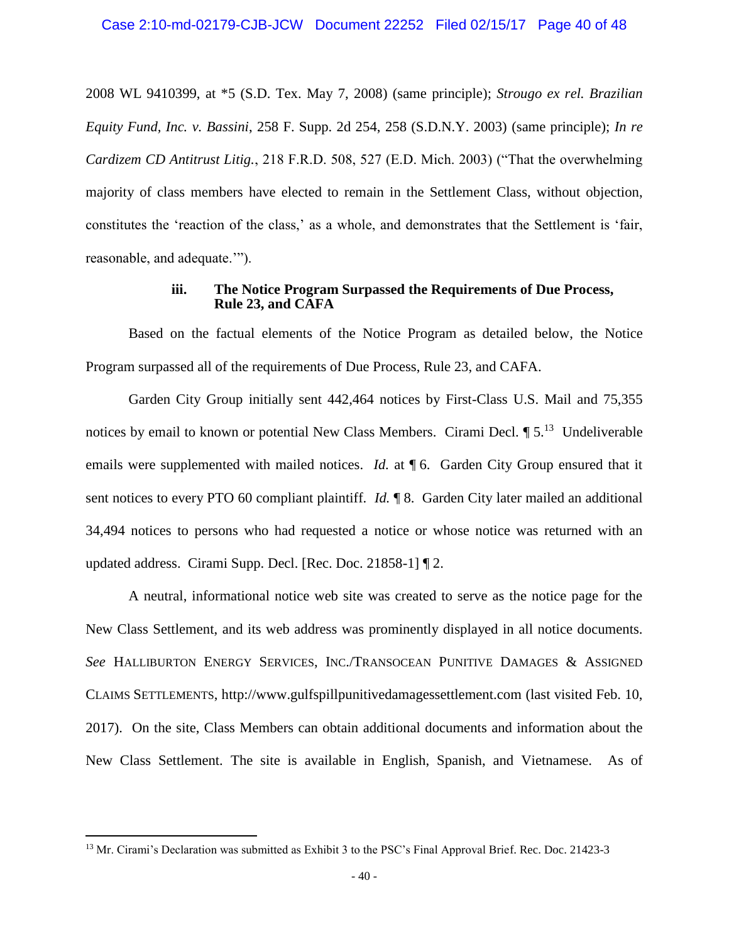2008 WL 9410399, at \*5 (S.D. Tex. May 7, 2008) (same principle); *Strougo ex rel. Brazilian Equity Fund, Inc. v. Bassini*, 258 F. Supp. 2d 254, 258 (S.D.N.Y. 2003) (same principle); *In re Cardizem CD Antitrust Litig.*, 218 F.R.D. 508, 527 (E.D. Mich. 2003) ("That the overwhelming majority of class members have elected to remain in the Settlement Class, without objection, constitutes the 'reaction of the class,' as a whole, and demonstrates that the Settlement is 'fair, reasonable, and adequate.'").

# **iii. The Notice Program Surpassed the Requirements of Due Process, Rule 23, and CAFA**

Based on the factual elements of the Notice Program as detailed below, the Notice Program surpassed all of the requirements of Due Process, Rule 23, and CAFA.

Garden City Group initially sent 442,464 notices by First-Class U.S. Mail and 75,355 notices by email to known or potential New Class Members. Cirami Decl.  $\P 5$ <sup>13</sup> Undeliverable emails were supplemented with mailed notices. *Id.* at **[6.** Garden City Group ensured that it sent notices to every PTO 60 compliant plaintiff. *Id.* ¶ 8. Garden City later mailed an additional 34,494 notices to persons who had requested a notice or whose notice was returned with an updated address. Cirami Supp. Decl. [Rec. Doc. 21858-1] ¶ 2.

A neutral, informational notice web site was created to serve as the notice page for the New Class Settlement, and its web address was prominently displayed in all notice documents. *See* HALLIBURTON ENERGY SERVICES, INC./TRANSOCEAN PUNITIVE DAMAGES & ASSIGNED CLAIMS SETTLEMENTS, http://www.gulfspillpunitivedamagessettlement.com (last visited Feb. 10, 2017). On the site, Class Members can obtain additional documents and information about the New Class Settlement. The site is available in English, Spanish, and Vietnamese. As of

<sup>&</sup>lt;sup>13</sup> Mr. Cirami's Declaration was submitted as Exhibit 3 to the PSC's Final Approval Brief. Rec. Doc. 21423-3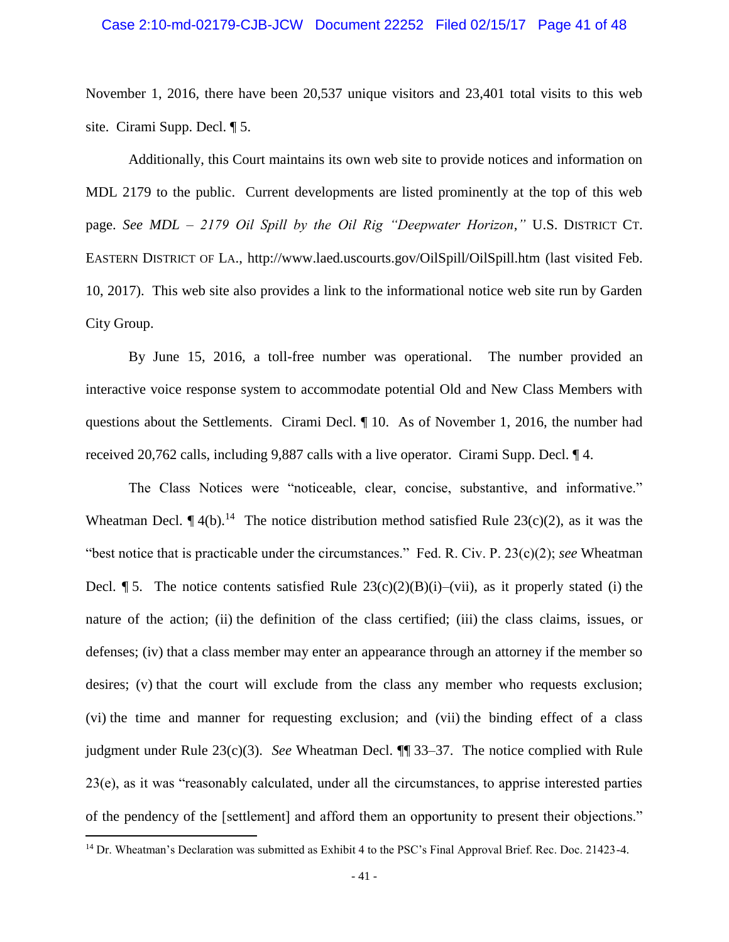November 1, 2016, there have been 20,537 unique visitors and 23,401 total visits to this web site. Cirami Supp. Decl. ¶ 5.

Additionally, this Court maintains its own web site to provide notices and information on MDL 2179 to the public. Current developments are listed prominently at the top of this web page. *See MDL – 2179 Oil Spill by the Oil Rig "Deepwater Horizon*,*"* U.S. DISTRICT CT. EASTERN DISTRICT OF LA., http://www.laed.uscourts.gov/OilSpill/OilSpill.htm (last visited Feb. 10, 2017). This web site also provides a link to the informational notice web site run by Garden City Group.

By June 15, 2016, a toll-free number was operational. The number provided an interactive voice response system to accommodate potential Old and New Class Members with questions about the Settlements. Cirami Decl. ¶ 10. As of November 1, 2016, the number had received 20,762 calls, including 9,887 calls with a live operator. Cirami Supp. Decl. ¶ 4.

The Class Notices were "noticeable, clear, concise, substantive, and informative." Wheatman Decl.  $\P$ 4(b).<sup>14</sup> The notice distribution method satisfied Rule 23(c)(2), as it was the "best notice that is practicable under the circumstances." Fed. R. Civ. P. 23(c)(2); *see* Wheatman Decl.  $\P$  5. The notice contents satisfied Rule 23(c)(2)(B)(i)–(vii), as it properly stated (i) the nature of the action; (ii) the definition of the class certified; (iii) the class claims, issues, or defenses; (iv) that a class member may enter an appearance through an attorney if the member so desires; (v) that the court will exclude from the class any member who requests exclusion; (vi) the time and manner for requesting exclusion; and (vii) the binding effect of a class judgment under Rule 23(c)(3). *See* Wheatman Decl. ¶¶ 33–37. The notice complied with Rule 23(e), as it was "reasonably calculated, under all the circumstances, to apprise interested parties of the pendency of the [settlement] and afford them an opportunity to present their objections."

<sup>&</sup>lt;sup>14</sup> Dr. Wheatman's Declaration was submitted as Exhibit 4 to the PSC's Final Approval Brief. Rec. Doc. 21423-4.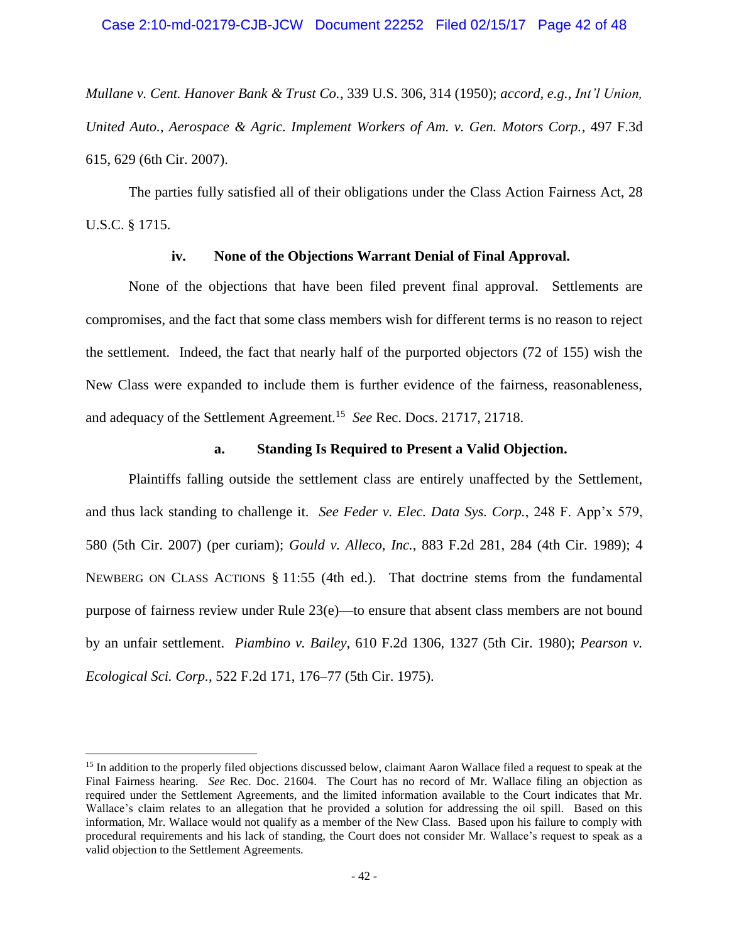*Mullane v. Cent. Hanover Bank & Trust Co.*, 339 U.S. 306, 314 (1950); *accord, e.g.*, *Int'l Union, United Auto., Aerospace & Agric. Implement Workers of Am. v. Gen. Motors Corp.*, 497 F.3d 615, 629 (6th Cir. 2007).

The parties fully satisfied all of their obligations under the Class Action Fairness Act, 28 U.S.C. § 1715.

# **iv. None of the Objections Warrant Denial of Final Approval.**

None of the objections that have been filed prevent final approval. Settlements are compromises, and the fact that some class members wish for different terms is no reason to reject the settlement. Indeed, the fact that nearly half of the purported objectors (72 of 155) wish the New Class were expanded to include them is further evidence of the fairness, reasonableness, and adequacy of the Settlement Agreement.<sup>15</sup> See Rec. Docs. 21717, 21718.

#### **a. Standing Is Required to Present a Valid Objection.**

Plaintiffs falling outside the settlement class are entirely unaffected by the Settlement, and thus lack standing to challenge it. *See Feder v. Elec. Data Sys. Corp.*, 248 F. App'x 579, 580 (5th Cir. 2007) (per curiam); *Gould v. Alleco, Inc.*, 883 F.2d 281, 284 (4th Cir. 1989); 4 NEWBERG ON CLASS ACTIONS § 11:55 (4th ed.). That doctrine stems from the fundamental purpose of fairness review under Rule 23(e)—to ensure that absent class members are not bound by an unfair settlement. *Piambino v. Bailey*, 610 F.2d 1306, 1327 (5th Cir. 1980); *Pearson v. Ecological Sci. Corp.*, 522 F.2d 171, 176–77 (5th Cir. 1975).

<sup>&</sup>lt;sup>15</sup> In addition to the properly filed objections discussed below, claimant Aaron Wallace filed a request to speak at the Final Fairness hearing. *See* Rec. Doc. 21604. The Court has no record of Mr. Wallace filing an objection as required under the Settlement Agreements, and the limited information available to the Court indicates that Mr. Wallace's claim relates to an allegation that he provided a solution for addressing the oil spill. Based on this information, Mr. Wallace would not qualify as a member of the New Class. Based upon his failure to comply with procedural requirements and his lack of standing, the Court does not consider Mr. Wallace's request to speak as a valid objection to the Settlement Agreements.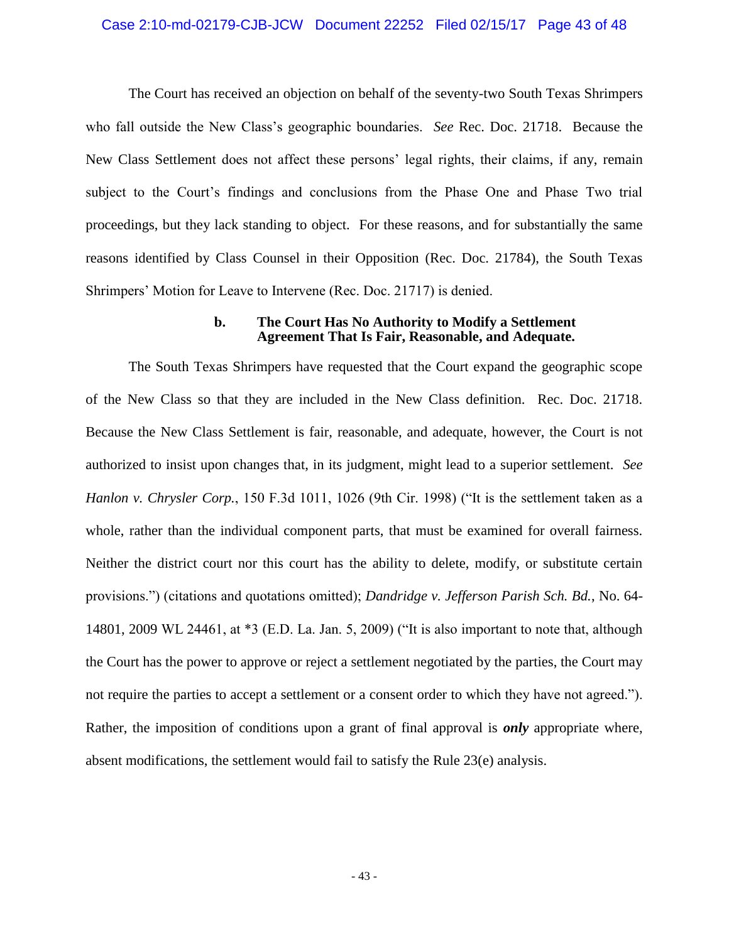#### Case 2:10-md-02179-CJB-JCW Document 22252 Filed 02/15/17 Page 43 of 48

The Court has received an objection on behalf of the seventy-two South Texas Shrimpers who fall outside the New Class's geographic boundaries. *See* Rec. Doc. 21718. Because the New Class Settlement does not affect these persons' legal rights, their claims, if any, remain subject to the Court's findings and conclusions from the Phase One and Phase Two trial proceedings, but they lack standing to object. For these reasons, and for substantially the same reasons identified by Class Counsel in their Opposition (Rec. Doc. 21784), the South Texas Shrimpers' Motion for Leave to Intervene (Rec. Doc. 21717) is denied.

#### **b. The Court Has No Authority to Modify a Settlement Agreement That Is Fair, Reasonable, and Adequate.**

The South Texas Shrimpers have requested that the Court expand the geographic scope of the New Class so that they are included in the New Class definition. Rec. Doc. 21718. Because the New Class Settlement is fair, reasonable, and adequate, however, the Court is not authorized to insist upon changes that, in its judgment, might lead to a superior settlement. *See Hanlon v. Chrysler Corp.*, 150 F.3d 1011, 1026 (9th Cir. 1998) ("It is the settlement taken as a whole, rather than the individual component parts, that must be examined for overall fairness. Neither the district court nor this court has the ability to delete, modify, or substitute certain provisions.") (citations and quotations omitted); *Dandridge v. Jefferson Parish Sch. Bd.*, No. 64- 14801, 2009 WL 24461, at \*3 (E.D. La. Jan. 5, 2009) ("It is also important to note that, although the Court has the power to approve or reject a settlement negotiated by the parties, the Court may not require the parties to accept a settlement or a consent order to which they have not agreed."). Rather, the imposition of conditions upon a grant of final approval is *only* appropriate where, absent modifications, the settlement would fail to satisfy the Rule 23(e) analysis.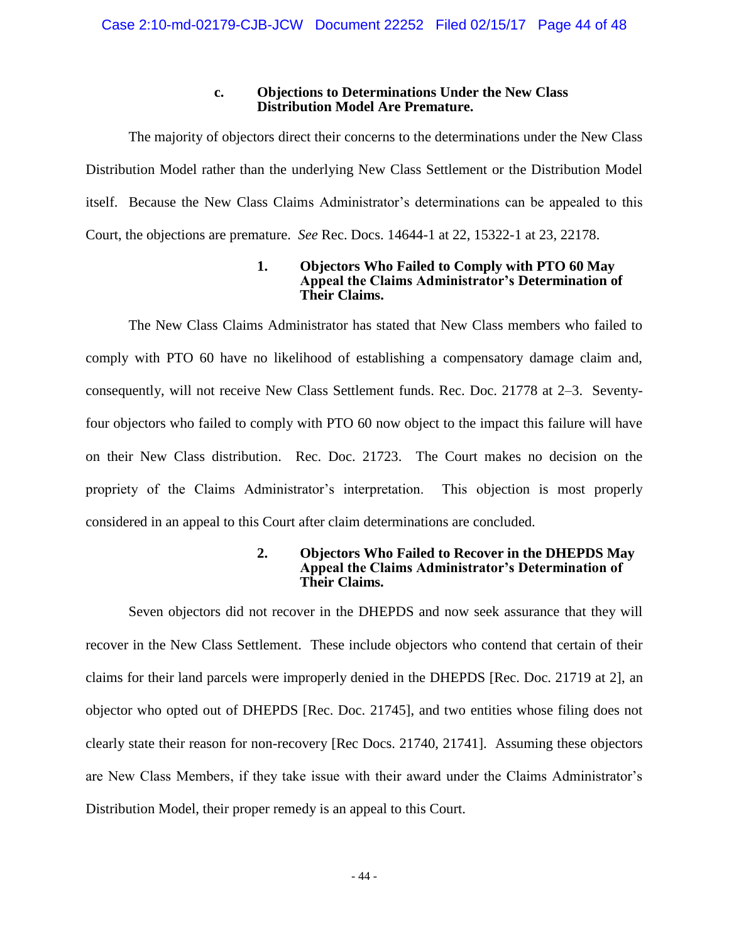# **c. Objections to Determinations Under the New Class Distribution Model Are Premature.**

The majority of objectors direct their concerns to the determinations under the New Class Distribution Model rather than the underlying New Class Settlement or the Distribution Model itself. Because the New Class Claims Administrator's determinations can be appealed to this Court, the objections are premature. *See* Rec. Docs. 14644-1 at 22, 15322-1 at 23, 22178.

# **1. Objectors Who Failed to Comply with PTO 60 May Appeal the Claims Administrator's Determination of Their Claims.**

The New Class Claims Administrator has stated that New Class members who failed to comply with PTO 60 have no likelihood of establishing a compensatory damage claim and, consequently, will not receive New Class Settlement funds. Rec. Doc. 21778 at 2–3. Seventyfour objectors who failed to comply with PTO 60 now object to the impact this failure will have on their New Class distribution. Rec. Doc. 21723. The Court makes no decision on the propriety of the Claims Administrator's interpretation. This objection is most properly considered in an appeal to this Court after claim determinations are concluded.

# **2. Objectors Who Failed to Recover in the DHEPDS May Appeal the Claims Administrator's Determination of Their Claims.**

Seven objectors did not recover in the DHEPDS and now seek assurance that they will recover in the New Class Settlement. These include objectors who contend that certain of their claims for their land parcels were improperly denied in the DHEPDS [Rec. Doc. 21719 at 2], an objector who opted out of DHEPDS [Rec. Doc. 21745], and two entities whose filing does not clearly state their reason for non-recovery [Rec Docs. 21740, 21741]. Assuming these objectors are New Class Members, if they take issue with their award under the Claims Administrator's Distribution Model, their proper remedy is an appeal to this Court.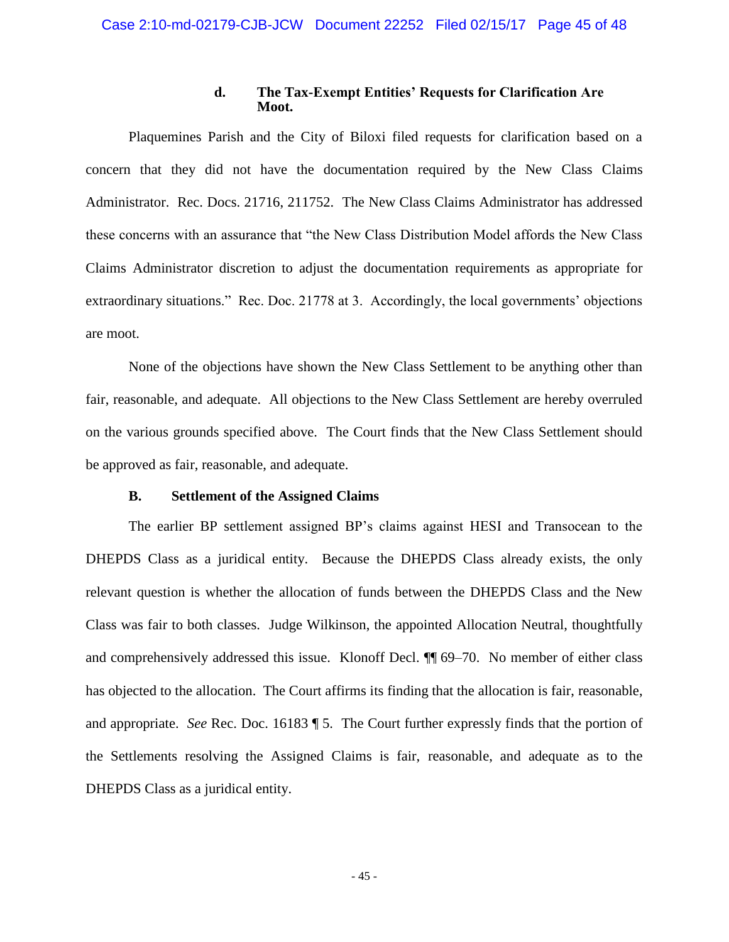#### **d. The Tax-Exempt Entities' Requests for Clarification Are Moot.**

Plaquemines Parish and the City of Biloxi filed requests for clarification based on a concern that they did not have the documentation required by the New Class Claims Administrator. Rec. Docs. 21716, 211752. The New Class Claims Administrator has addressed these concerns with an assurance that "the New Class Distribution Model affords the New Class Claims Administrator discretion to adjust the documentation requirements as appropriate for extraordinary situations." Rec. Doc. 21778 at 3. Accordingly, the local governments' objections are moot.

None of the objections have shown the New Class Settlement to be anything other than fair, reasonable, and adequate. All objections to the New Class Settlement are hereby overruled on the various grounds specified above. The Court finds that the New Class Settlement should be approved as fair, reasonable, and adequate.

#### **B. Settlement of the Assigned Claims**

The earlier BP settlement assigned BP's claims against HESI and Transocean to the DHEPDS Class as a juridical entity. Because the DHEPDS Class already exists, the only relevant question is whether the allocation of funds between the DHEPDS Class and the New Class was fair to both classes. Judge Wilkinson, the appointed Allocation Neutral, thoughtfully and comprehensively addressed this issue. Klonoff Decl. ¶¶ 69–70. No member of either class has objected to the allocation. The Court affirms its finding that the allocation is fair, reasonable, and appropriate. *See* Rec. Doc. 16183 ¶ 5. The Court further expressly finds that the portion of the Settlements resolving the Assigned Claims is fair, reasonable, and adequate as to the DHEPDS Class as a juridical entity.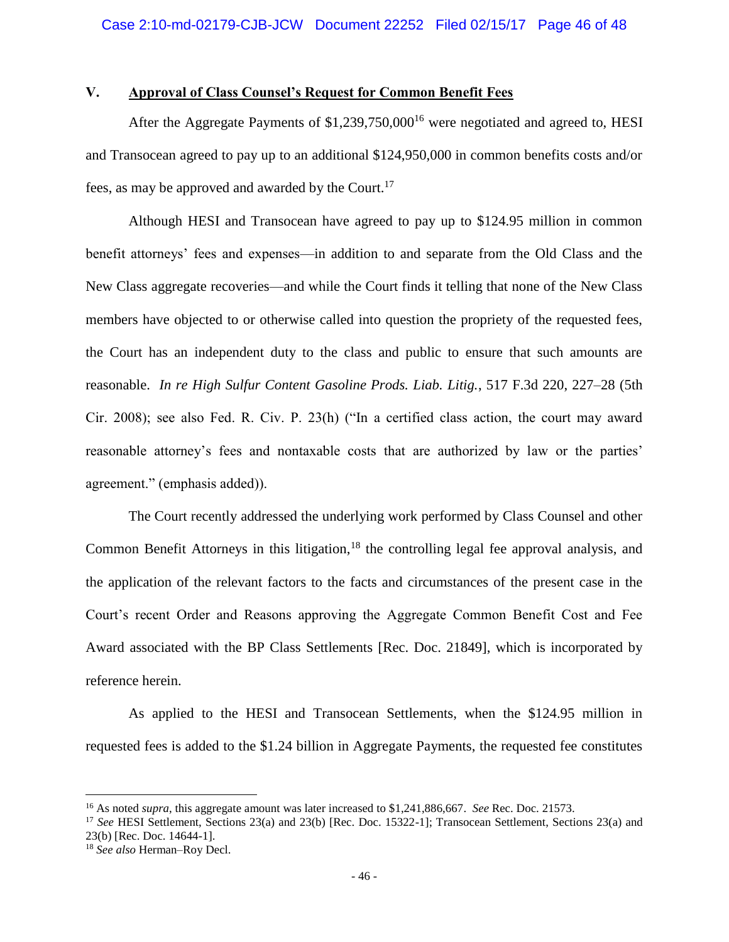# **V. Approval of Class Counsel's Request for Common Benefit Fees**

After the Aggregate Payments of  $$1,239,750,000<sup>16</sup>$  were negotiated and agreed to, HESI and Transocean agreed to pay up to an additional \$124,950,000 in common benefits costs and/or fees, as may be approved and awarded by the Court.<sup>17</sup>

Although HESI and Transocean have agreed to pay up to \$124.95 million in common benefit attorneys' fees and expenses—in addition to and separate from the Old Class and the New Class aggregate recoveries—and while the Court finds it telling that none of the New Class members have objected to or otherwise called into question the propriety of the requested fees, the Court has an independent duty to the class and public to ensure that such amounts are reasonable. *In re High Sulfur Content Gasoline Prods. Liab. Litig.*, 517 F.3d 220, 227–28 (5th Cir. 2008); see also Fed. R. Civ. P. 23(h) ("In a certified class action, the court may award reasonable attorney's fees and nontaxable costs that are authorized by law or the parties' agreement." (emphasis added)).

The Court recently addressed the underlying work performed by Class Counsel and other Common Benefit Attorneys in this litigation,<sup>18</sup> the controlling legal fee approval analysis, and the application of the relevant factors to the facts and circumstances of the present case in the Court's recent Order and Reasons approving the Aggregate Common Benefit Cost and Fee Award associated with the BP Class Settlements [Rec. Doc. 21849], which is incorporated by reference herein.

As applied to the HESI and Transocean Settlements, when the \$124.95 million in requested fees is added to the \$1.24 billion in Aggregate Payments, the requested fee constitutes

<sup>16</sup> As noted *supra*, this aggregate amount was later increased to \$1,241,886,667. *See* Rec. Doc. 21573.

<sup>17</sup> *See* HESI Settlement, Sections 23(a) and 23(b) [Rec. Doc. 15322-1]; Transocean Settlement, Sections 23(a) and 23(b) [Rec. Doc. 14644-1].

<sup>18</sup> *See also* Herman–Roy Decl.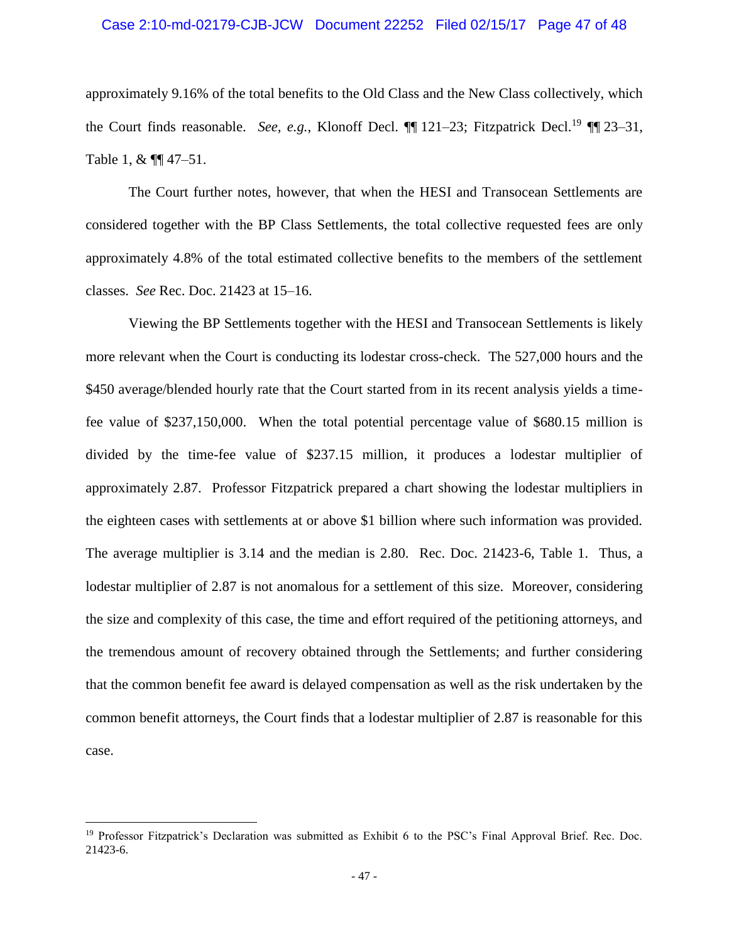#### Case 2:10-md-02179-CJB-JCW Document 22252 Filed 02/15/17 Page 47 of 48

approximately 9.16% of the total benefits to the Old Class and the New Class collectively, which the Court finds reasonable. *See, e.g.*, Klonoff Decl. **[1**] 121–23; Fitzpatrick Decl.<sup>19</sup> **[1**] 23–31, Table 1, &  $\P\P$  47-51.

The Court further notes, however, that when the HESI and Transocean Settlements are considered together with the BP Class Settlements, the total collective requested fees are only approximately 4.8% of the total estimated collective benefits to the members of the settlement classes. *See* Rec. Doc. 21423 at 15–16.

Viewing the BP Settlements together with the HESI and Transocean Settlements is likely more relevant when the Court is conducting its lodestar cross-check. The 527,000 hours and the \$450 average/blended hourly rate that the Court started from in its recent analysis yields a timefee value of \$237,150,000. When the total potential percentage value of \$680.15 million is divided by the time-fee value of \$237.15 million, it produces a lodestar multiplier of approximately 2.87. Professor Fitzpatrick prepared a chart showing the lodestar multipliers in the eighteen cases with settlements at or above \$1 billion where such information was provided. The average multiplier is 3.14 and the median is 2.80. Rec. Doc. 21423-6, Table 1. Thus, a lodestar multiplier of 2.87 is not anomalous for a settlement of this size. Moreover, considering the size and complexity of this case, the time and effort required of the petitioning attorneys, and the tremendous amount of recovery obtained through the Settlements; and further considering that the common benefit fee award is delayed compensation as well as the risk undertaken by the common benefit attorneys, the Court finds that a lodestar multiplier of 2.87 is reasonable for this case.

<sup>&</sup>lt;sup>19</sup> Professor Fitzpatrick's Declaration was submitted as Exhibit 6 to the PSC's Final Approval Brief. Rec. Doc. 21423-6.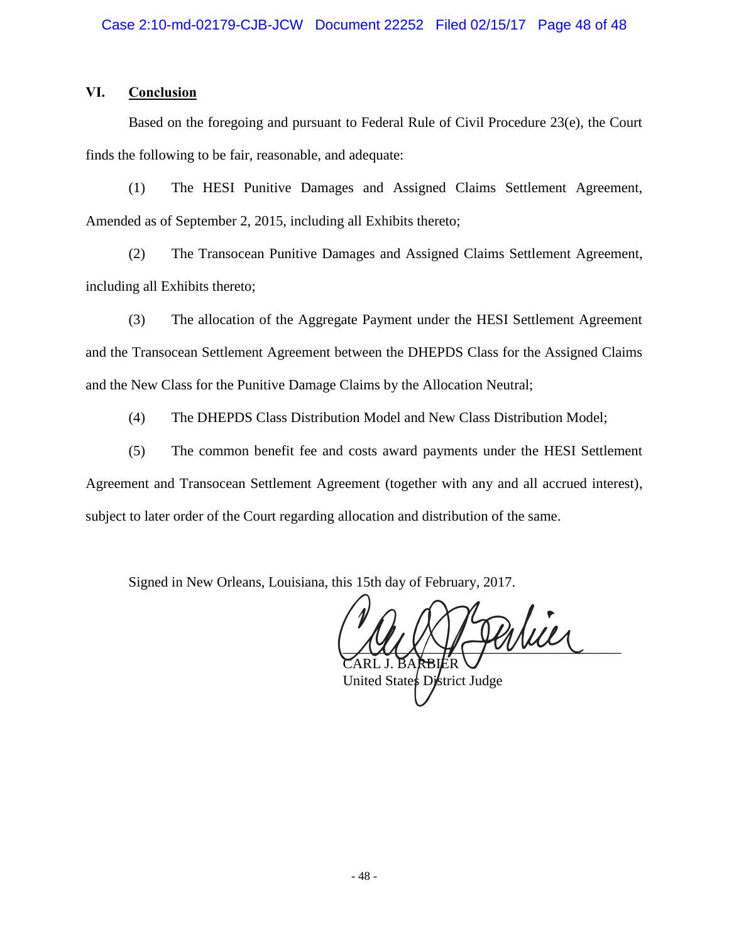# **VI. Conclusion**

Based on the foregoing and pursuant to Federal Rule of Civil Procedure 23(e), the Court finds the following to be fair, reasonable, and adequate:

(1) The HESI Punitive Damages and Assigned Claims Settlement Agreement, Amended as of September 2, 2015, including all Exhibits thereto;

(2) The Transocean Punitive Damages and Assigned Claims Settlement Agreement, including all Exhibits thereto;

(3) The allocation of the Aggregate Payment under the HESI Settlement Agreement and the Transocean Settlement Agreement between the DHEPDS Class for the Assigned Claims and the New Class for the Punitive Damage Claims by the Allocation Neutral;

(4) The DHEPDS Class Distribution Model and New Class Distribution Model;

(5) The common benefit fee and costs award payments under the HESI Settlement Agreement and Transocean Settlement Agreement (together with any and all accrued interest), subject to later order of the Court regarding allocation and distribution of the same.

Signed in New Orleans, Louisiana, this 15th day of February, 2017.

atier BARBIER

United States District Judge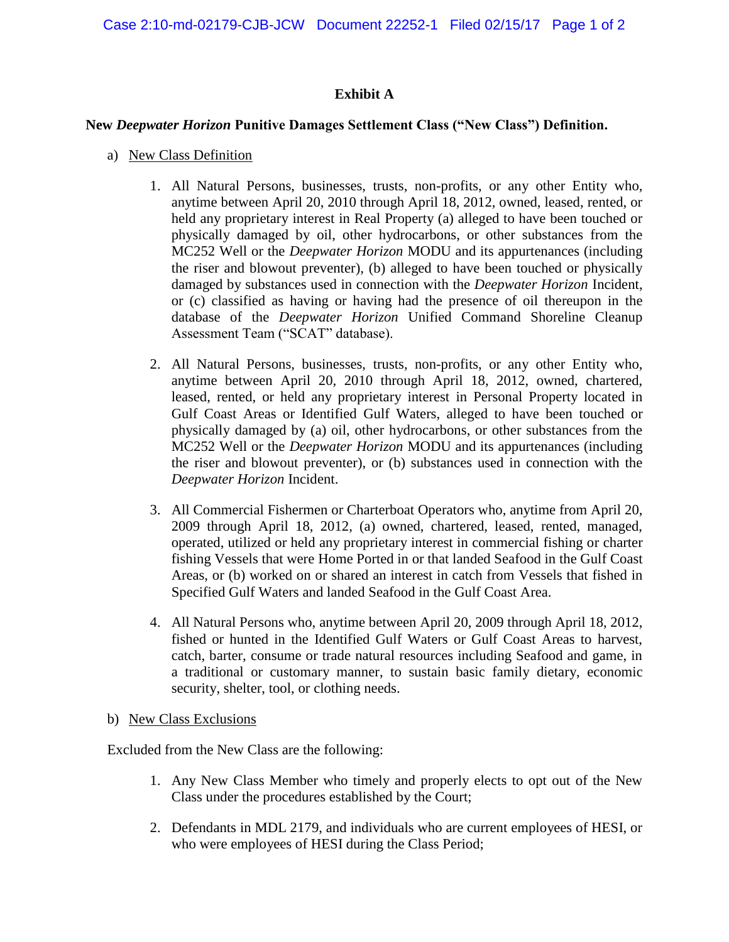# **Exhibit A**

# **New** *Deepwater Horizon* **Punitive Damages Settlement Class ("New Class") Definition.**

- a) New Class Definition
	- 1. All Natural Persons, businesses, trusts, non-profits, or any other Entity who, anytime between April 20, 2010 through April 18, 2012, owned, leased, rented, or held any proprietary interest in Real Property (a) alleged to have been touched or physically damaged by oil, other hydrocarbons, or other substances from the MC252 Well or the *Deepwater Horizon* MODU and its appurtenances (including the riser and blowout preventer), (b) alleged to have been touched or physically damaged by substances used in connection with the *Deepwater Horizon* Incident, or (c) classified as having or having had the presence of oil thereupon in the database of the *Deepwater Horizon* Unified Command Shoreline Cleanup Assessment Team ("SCAT" database).
	- 2. All Natural Persons, businesses, trusts, non-profits, or any other Entity who, anytime between April 20, 2010 through April 18, 2012, owned, chartered, leased, rented, or held any proprietary interest in Personal Property located in Gulf Coast Areas or Identified Gulf Waters, alleged to have been touched or physically damaged by (a) oil, other hydrocarbons, or other substances from the MC252 Well or the *Deepwater Horizon* MODU and its appurtenances (including the riser and blowout preventer), or (b) substances used in connection with the *Deepwater Horizon* Incident.
	- 3. All Commercial Fishermen or Charterboat Operators who, anytime from April 20, 2009 through April 18, 2012, (a) owned, chartered, leased, rented, managed, operated, utilized or held any proprietary interest in commercial fishing or charter fishing Vessels that were Home Ported in or that landed Seafood in the Gulf Coast Areas, or (b) worked on or shared an interest in catch from Vessels that fished in Specified Gulf Waters and landed Seafood in the Gulf Coast Area.
	- 4. All Natural Persons who, anytime between April 20, 2009 through April 18, 2012, fished or hunted in the Identified Gulf Waters or Gulf Coast Areas to harvest, catch, barter, consume or trade natural resources including Seafood and game, in a traditional or customary manner, to sustain basic family dietary, economic security, shelter, tool, or clothing needs.
- b) New Class Exclusions

Excluded from the New Class are the following:

- 1. Any New Class Member who timely and properly elects to opt out of the New Class under the procedures established by the Court;
- 2. Defendants in MDL 2179, and individuals who are current employees of HESI, or who were employees of HESI during the Class Period;